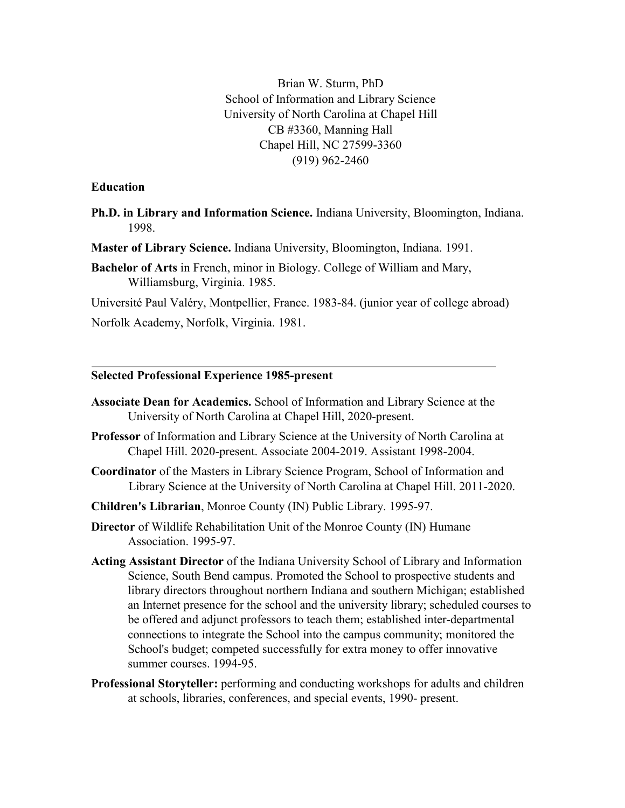Brian W. Sturm, PhD School of Information and Library Science University of North Carolina at Chapel Hill CB #3360, Manning Hall Chapel Hill, NC 27599-3360 (919) 962-2460

#### **Education**

- **Ph.D. in Library and Information Science.** Indiana University, Bloomington, Indiana. 1998.
- **Master of Library Science.** Indiana University, Bloomington, Indiana. 1991.
- **Bachelor of Arts** in French, minor in Biology. College of William and Mary, Williamsburg, Virginia. 1985.
- Université Paul Valéry, Montpellier, France. 1983-84. (junior year of college abroad)

Norfolk Academy, Norfolk, Virginia. 1981.

#### **Selected Professional Experience 1985-present**

- **Associate Dean for Academics.** School of Information and Library Science at the University of North Carolina at Chapel Hill, 2020-present.
- **Professor** of Information and Library Science at the University of North Carolina at Chapel Hill. 2020-present. Associate 2004-2019. Assistant 1998-2004.
- **Coordinator** of the Masters in Library Science Program, School of Information and Library Science at the University of North Carolina at Chapel Hill. 2011-2020.
- **Children's Librarian**, Monroe County (IN) Public Library. 1995-97.
- **Director** of Wildlife Rehabilitation Unit of the Monroe County (IN) Humane Association. 1995-97.
- **Acting Assistant Director** of the Indiana University School of Library and Information Science, South Bend campus. Promoted the School to prospective students and library directors throughout northern Indiana and southern Michigan; established an Internet presence for the school and the university library; scheduled courses to be offered and adjunct professors to teach them; established inter-departmental connections to integrate the School into the campus community; monitored the School's budget; competed successfully for extra money to offer innovative summer courses. 1994-95.
- **Professional Storyteller:** performing and conducting workshops for adults and children at schools, libraries, conferences, and special events, 1990- present.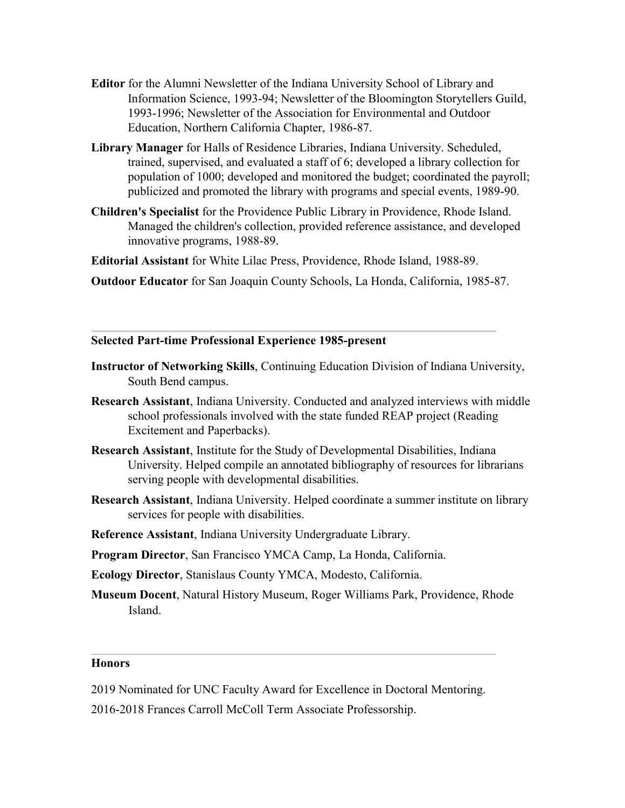- **Editor** for the Alumni Newsletter of the Indiana University School of Library and Information Science, 1993-94; Newsletter of the Bloomington Storytellers Guild, 1993-1996; Newsletter of the Association for Environmental and Outdoor Education, Northern California Chapter, 1986-87.
- **Library Manager** for Halls of Residence Libraries, Indiana University. Scheduled, trained, supervised, and evaluated a staff of 6; developed a library collection for population of 1000; developed and monitored the budget; coordinated the payroll; publicized and promoted the library with programs and special events, 1989-90.
- **Children's Specialist** for the Providence Public Library in Providence, Rhode Island. Managed the children's collection, provided reference assistance, and developed innovative programs, 1988-89.

**Editorial Assistant** for White Lilac Press, Providence, Rhode Island, 1988-89.

**Outdoor Educator** for San Joaquin County Schools, La Honda, California, 1985-87.

#### **Selected Part-time Professional Experience 1985-present**

- **Instructor of Networking Skills**, Continuing Education Division of Indiana University, South Bend campus.
- **Research Assistant**, Indiana University. Conducted and analyzed interviews with middle school professionals involved with the state funded REAP project (Reading Excitement and Paperbacks).
- **Research Assistant**, Institute for the Study of Developmental Disabilities, Indiana University. Helped compile an annotated bibliography of resources for librarians serving people with developmental disabilities.
- **Research Assistant**, Indiana University. Helped coordinate a summer institute on library services for people with disabilities.
- **Reference Assistant**, Indiana University Undergraduate Library.
- **Program Director**, San Francisco YMCA Camp, La Honda, California.
- **Ecology Director**, Stanislaus County YMCA, Modesto, California.
- **Museum Docent**, Natural History Museum, Roger Williams Park, Providence, Rhode Island.

### **Honors**

- 2019 Nominated for UNC Faculty Award for Excellence in Doctoral Mentoring.
- 2016-2018 Frances Carroll McColl Term Associate Professorship.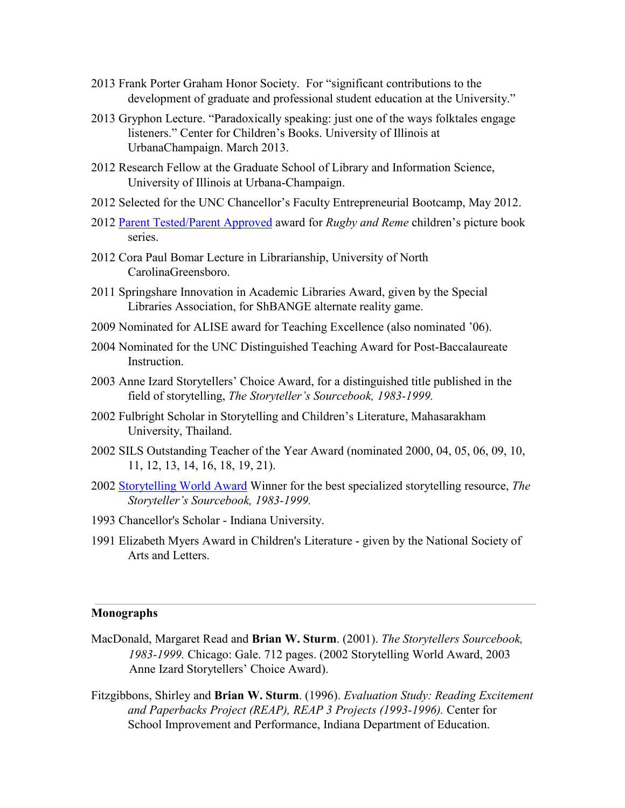- 2013 Frank Porter Graham Honor Society. For "significant contributions to the development of graduate and professional student education at the University."
- 2013 Gryphon Lecture. "Paradoxically speaking: just one of the ways folktales engage listeners." Center for Children's Books. University of Illinois at UrbanaChampaign. March 2013.
- 2012 Research Fellow at the Graduate School of Library and Information Science, University of Illinois at Urbana-Champaign.
- 2012 Selected for the UNC Chancellor's Faculty Entrepreneurial Bootcamp, May 2012.
- 2012 [Parent Tested/Parent Approved](http://www.ptpamedia.com/homepage) [a](http://www.ptpamedia.com/homepage)ward for *Rugby and Reme* children's picture book series.
- 2012 Cora Paul Bomar Lecture in Librarianship, University of North CarolinaGreensboro.
- 2011 Springshare Innovation in Academic Libraries Award, given by the Special Libraries Association, for ShBANGE alternate reality game.
- 2009 Nominated for ALISE award for Teaching Excellence (also nominated '06).
- 2004 Nominated for the UNC Distinguished Teaching Award for Post-Baccalaureate Instruction.
- 2003 Anne Izard Storytellers' Choice Award, for a distinguished title published in the field of storytelling, *The Storyteller's Sourcebook, 1983-1999.*
- 2002 Fulbright Scholar in Storytelling and Children's Literature, Mahasarakham University, Thailand.
- 2002 SILS Outstanding Teacher of the Year Award (nominated 2000, 04, 05, 06, 09, 10, 11, 12, 13, 14, 16, 18, 19, 21).
- 2002 [Storytelling World Award](http://home.comcast.net/%7Eflorajoy/Awards/2002win.htm) Winner for the best specialized storytelling resource, *The Storyteller's Sourcebook, 1983-1999.*
- 1993 Chancellor's Scholar Indiana University.
- 1991 Elizabeth Myers Award in Children's Literature given by the National Society of Arts and Letters.

### **Monographs**

- MacDonald, Margaret Read and **Brian W. Sturm**. (2001). *The Storytellers Sourcebook, 1983-1999.* Chicago: Gale. 712 pages. (2002 Storytelling World Award, 2003 Anne Izard Storytellers' Choice Award).
- Fitzgibbons, Shirley and **Brian W. Sturm**. (1996). *Evaluation Study: Reading Excitement and Paperbacks Project (REAP), REAP 3 Projects (1993-1996).* Center for School Improvement and Performance, Indiana Department of Education.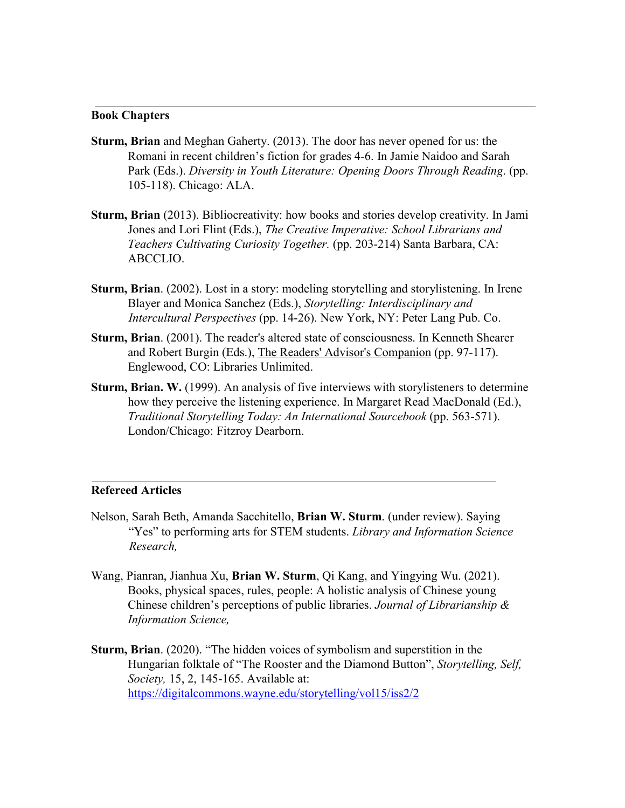#### **Book Chapters**

- **Sturm, Brian** and Meghan Gaherty. (2013). The door has never opened for us: the Romani in recent children's fiction for grades 4-6. In Jamie Naidoo and Sarah Park (Eds.). *Diversity in Youth Literature: Opening Doors Through Reading*. (pp. 105-118). Chicago: ALA.
- **Sturm, Brian** (2013). Bibliocreativity: how books and stories develop creativity. In Jami Jones and Lori Flint (Eds.), *The Creative Imperative: School Librarians and Teachers Cultivating Curiosity Together.* (pp. 203-214) Santa Barbara, CA: ABCCLIO.
- **Sturm, Brian**. (2002). Lost in a story: modeling storytelling and storylistening. In Irene Blayer and Monica Sanchez (Eds.), *Storytelling: Interdisciplinary and Intercultural Perspectives* (pp. 14-26). New York, NY: Peter Lang Pub. Co.
- **Sturm, Brian**. (2001). The reader's altered state of consciousness. In Kenneth Shearer and Robert Burgin (Eds.), The Readers' Advisor's Companion (pp. 97-117). Englewood, CO: Libraries Unlimited.
- **Sturm, Brian. W.** (1999). An analysis of five interviews with storylisteners to determine how they perceive the listening experience. In Margaret Read MacDonald (Ed.), *Traditional Storytelling Today: An International Sourcebook* (pp. 563-571). London/Chicago: Fitzroy Dearborn.

#### **Refereed Articles**

- Nelson, Sarah Beth, Amanda Sacchitello, **Brian W. Sturm**. (under review). Saying "Yes" to performing arts for STEM students. *Library and Information Science Research,*
- Wang, Pianran, Jianhua Xu, **Brian W. Sturm**, Qi Kang, and Yingying Wu. (2021). Books, physical spaces, rules, people: A holistic analysis of Chinese young Chinese children's perceptions of public libraries. *Journal of Librarianship & Information Science,*
- **Sturm, Brian**. (2020). "The hidden voices of symbolism and superstition in the Hungarian folktale of "The Rooster and the Diamond Button", *Storytelling, Self, Society,* 15, 2, 145-165. Available at: <https://digitalcommons.wayne.edu/storytelling/vol15/iss2/2>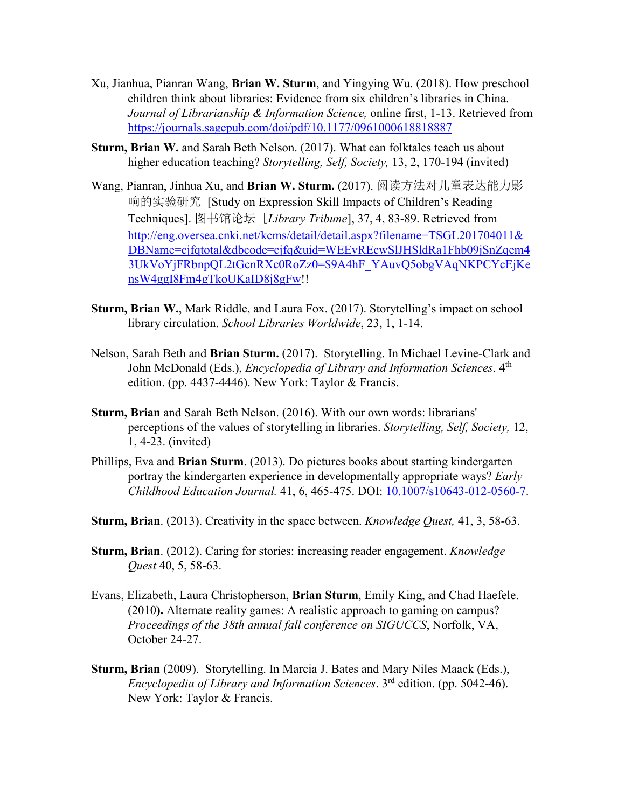- Xu, Jianhua, Pianran Wang, **Brian W. Sturm**, and Yingying Wu. (2018). How preschool children think about libraries: Evidence from six children's libraries in China. *Journal of Librarianship & Information Science,* online first, 1-13. Retrieved from <https://journals.sagepub.com/doi/pdf/10.1177/0961000618818887>
- **Sturm, Brian W.** and Sarah Beth Nelson. (2017). What can folktales teach us about higher education teaching? *Storytelling, Self, Society,* 13, 2, 170-194 (invited)
- Wang, Pianran, Jinhua Xu, and **Brian W. Sturm.** (2017). 阅读方法对儿童表达能力影 响的实验研究 [Study on Expression Skill Impacts of Children's Reading Techniques]. 图书馆论坛 [*Library Tribune*], 37, 4, 83-89. Retrieved from [http://eng.oversea.cnki.net/kcms/detail/detail.aspx?filename=TSGL201704011&](http://eng.oversea.cnki.net/kcms/detail/detail.aspx?filename=TSGL201704011&DBName=cjfqtotal&dbcode=cjfq&uid=WEEvREcwSlJHSldRa1Fhb09jSnZqem43UkVoYjFRbnpQL2tGcnRXc0RoZz0=$9A4hF_YAuvQ5obgVAqNKPCYcEjKensW4ggI8Fm4gTkoUKaID8j8gFw)  [DBName=cjfqtotal&dbcode=cjfq&uid=WEEvREcwSlJHSldRa1Fhb09jSnZqem4](http://eng.oversea.cnki.net/kcms/detail/detail.aspx?filename=TSGL201704011&DBName=cjfqtotal&dbcode=cjfq&uid=WEEvREcwSlJHSldRa1Fhb09jSnZqem43UkVoYjFRbnpQL2tGcnRXc0RoZz0=$9A4hF_YAuvQ5obgVAqNKPCYcEjKensW4ggI8Fm4gTkoUKaID8j8gFw)  [3UkVoYjFRbnpQL2tGcnRXc0RoZz0=\\$9A4hF\\_YAuvQ5obgVAqNKPCYcEjKe](http://eng.oversea.cnki.net/kcms/detail/detail.aspx?filename=TSGL201704011&DBName=cjfqtotal&dbcode=cjfq&uid=WEEvREcwSlJHSldRa1Fhb09jSnZqem43UkVoYjFRbnpQL2tGcnRXc0RoZz0=$9A4hF_YAuvQ5obgVAqNKPCYcEjKensW4ggI8Fm4gTkoUKaID8j8gFw)  [nsW4ggI8Fm4gTkoUKaID8j8gFw!!](http://eng.oversea.cnki.net/kcms/detail/detail.aspx?filename=TSGL201704011&DBName=cjfqtotal&dbcode=cjfq&uid=WEEvREcwSlJHSldRa1Fhb09jSnZqem43UkVoYjFRbnpQL2tGcnRXc0RoZz0=$9A4hF_YAuvQ5obgVAqNKPCYcEjKensW4ggI8Fm4gTkoUKaID8j8gFw)
- **Sturm, Brian W.**, Mark Riddle, and Laura Fox. (2017). Storytelling's impact on school library circulation. *School Libraries Worldwide*, 23, 1, 1-14.
- Nelson, Sarah Beth and **Brian Sturm.** (2017). Storytelling. In Michael Levine-Clark and John McDonald (Eds.), *Encyclopedia of Library and Information Sciences*. 4th edition. (pp. 4437-4446). New York: Taylor & Francis.
- **Sturm, Brian** and Sarah Beth Nelson. (2016). With our own words: librarians' perceptions of the values of storytelling in libraries. *Storytelling, Self, Society,* 12, 1, 4-23. (invited)
- Phillips, Eva and **Brian Sturm**. (2013). Do pictures books about starting kindergarten portray the kindergarten experience in developmentally appropriate ways? *Early Childhood Education Journal.* 41, 6, 465-475. DOI: [10.1007/s10643-012-0560-7.](http://www.springerlink.com/openurl.asp?genre=article&id=doi:10.1007/s10643-012-0560-7)
- **Sturm, Brian**. (2013). Creativity in the space between. *Knowledge Quest,* 41, 3, 58-63.
- **Sturm, Brian**. (2012). Caring for stories: increasing reader engagement. *Knowledge Quest* 40, 5, 58-63.
- Evans, Elizabeth, Laura Christopherson, **Brian Sturm**, Emily King, and Chad Haefele. (2010**).** Alternate reality games: A realistic approach to gaming on campus? *Proceedings of the 38th annual fall conference on SIGUCCS*, Norfolk, VA, October 24-27.
- **Sturm, Brian** (2009). Storytelling. In Marcia J. Bates and Mary Niles Maack (Eds.), *Encyclopedia of Library and Information Sciences*. 3rd edition. (pp. 5042-46). New York: Taylor & Francis.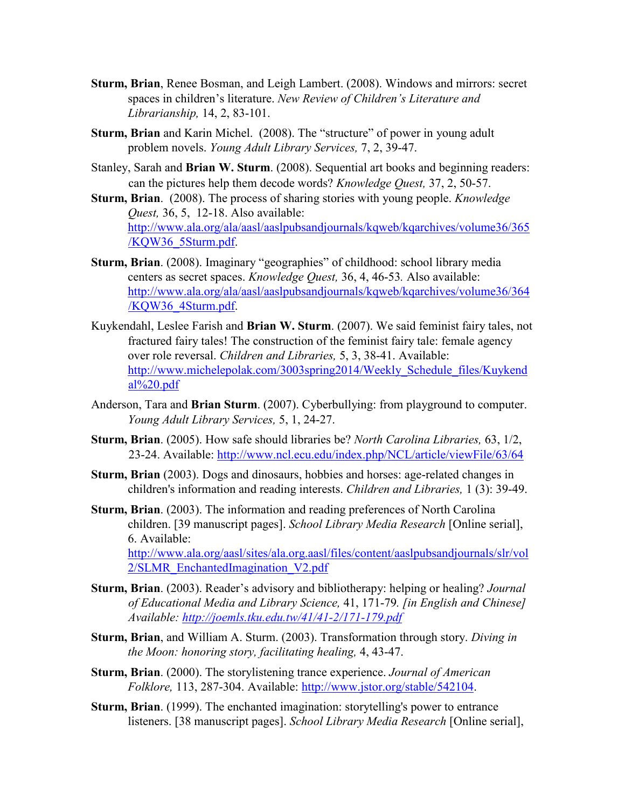- **Sturm, Brian**, Renee Bosman, and Leigh Lambert. (2008). Windows and mirrors: secret spaces in children's literature. *New Review of Children's Literature and Librarianship,* 14, 2, 83-101.
- **Sturm, Brian** and Karin Michel. (2008). The "structure" of power in young adult problem novels. *Young Adult Library Services,* 7, 2, 39-47.
- Stanley, Sarah and **Brian W. Sturm**. (2008). Sequential art books and beginning readers: can the pictures help them decode words? *Knowledge Quest,* 37, 2, 50-57.
- **Sturm, Brian**. (2008). The process of sharing stories with young people. *Knowledge Quest,* 36, 5, 12-18. Also available: [http://www.ala.org/ala/aasl/aaslpubsandjournals/kqweb/kqarchives/volume36/365](http://www.ala.org/ala/aasl/aaslpubsandjournals/kqweb/kqarchives/volume36/365/KQW36_5Sturm.pdf)  [/KQW36\\_5Sturm.pdf.](http://www.ala.org/ala/aasl/aaslpubsandjournals/kqweb/kqarchives/volume36/365/KQW36_5Sturm.pdf)
- **Sturm, Brian**. (2008). Imaginary "geographies" of childhood: school library media centers as secret spaces. *Knowledge Quest,* 36, 4, 46-53*.* Also available: [http://www.ala.org/ala/aasl/aaslpubsandjournals/kqweb/kqarchives/volume36/364](http://www.ala.org/ala/aasl/aaslpubsandjournals/kqweb/kqarchives/volume36/364/KQW36_4Sturm.pdf)  [/KQW36\\_4Sturm.pdf.](http://www.ala.org/ala/aasl/aaslpubsandjournals/kqweb/kqarchives/volume36/364/KQW36_4Sturm.pdf)
- Kuykendahl, Leslee Farish and **Brian W. Sturm**. (2007). We said feminist fairy tales, not fractured fairy tales! The construction of the feminist fairy tale: female agency over role reversal. *Children and Libraries,* 5, 3, 38-41. Available: [http://www.michelepolak.com/3003spring2014/Weekly\\_Schedule\\_files/Kuykend](http://www.michelepolak.com/3003spring2014/Weekly_Schedule_files/Kuykendal%20.pdf)   $al\%20.pdf$
- Anderson, Tara and **Brian Sturm**. (2007). Cyberbullying: from playground to computer. *Young Adult Library Services,* 5, 1, 24-27.
- **Sturm, Brian**. (2005). How safe should libraries be? *North Carolina Libraries,* 63, 1/2, 23-24. Available:<http://www.ncl.ecu.edu/index.php/NCL/article/viewFile/63/64>
- **Sturm, Brian** (2003). Dogs and dinosaurs, hobbies and horses: age-related changes in children's information and reading interests. *Children and Libraries,* 1 (3): 39-49.
- **Sturm, Brian**. (2003). The information and reading preferences of North Carolina children. [39 manuscript pages]. *School Library Media Research* [Online serial], 6. Available: [http://www.ala.org/aasl/sites/ala.org.aasl/files/content/aaslpubsandjournals/slr/vol](http://www.ala.org/aasl/sites/ala.org.aasl/files/content/aaslpubsandjournals/slr/vol2/SLMR_EnchantedImagination_V2.pdf)  [2/SLMR\\_EnchantedImagination\\_V2.pdf](http://www.ala.org/aasl/sites/ala.org.aasl/files/content/aaslpubsandjournals/slr/vol2/SLMR_EnchantedImagination_V2.pdf)
- **Sturm, Brian**. (2003). Reader's advisory and bibliotherapy: helping or healing? *Journal of Educational Media and Library Science,* 41, 171-79*. [in English and Chinese] Available:<http://joemls.tku.edu.tw/41/41-2/171-179.pdf>*
- **Sturm, Brian**, and William A. Sturm. (2003). Transformation through story. *Diving in the Moon: honoring story, facilitating healing,* 4, 43-47.
- **Sturm, Brian**. (2000). The storylistening trance experience. *Journal of American Folklore,* 113, 287-304. Available: [http://www.jstor.org/stable/542104.](http://www.jstor.org/stable/542104)
- **Sturm, Brian**. (1999). The enchanted imagination: storytelling's power to entrance listeners. [38 manuscript pages]. *School Library Media Research* [Online serial],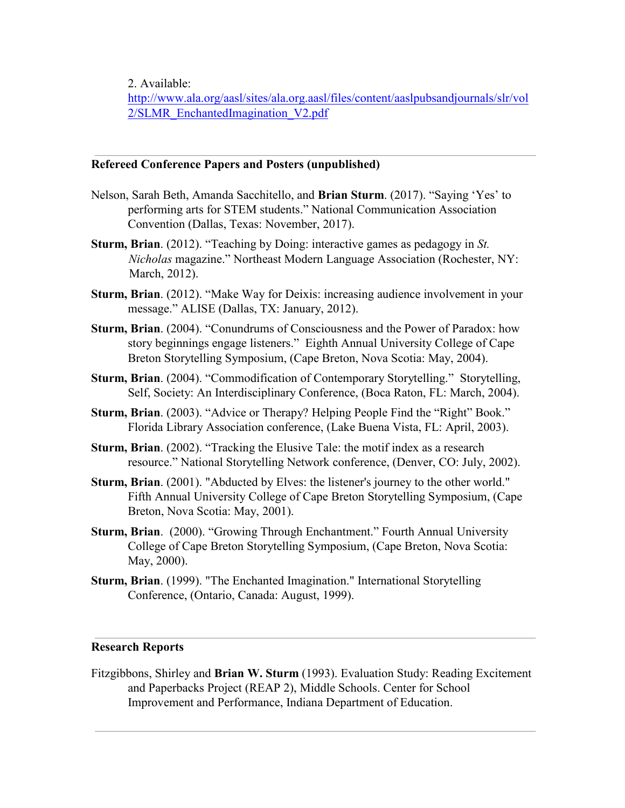2. Available:

[http://www.ala.org/aasl/sites/ala.org.aasl/files/content/aaslpubsandjournals/slr/vol](http://www.ala.org/aasl/sites/ala.org.aasl/files/content/aaslpubsandjournals/slr/vol2/SLMR_EnchantedImagination_V2.pdf)  [2/SLMR\\_EnchantedImagination\\_V2.pdf](http://www.ala.org/aasl/sites/ala.org.aasl/files/content/aaslpubsandjournals/slr/vol2/SLMR_EnchantedImagination_V2.pdf)

## **Refereed Conference Papers and Posters (unpublished)**

- Nelson, Sarah Beth, Amanda Sacchitello, and **Brian Sturm**. (2017). "Saying 'Yes' to performing arts for STEM students." National Communication Association Convention (Dallas, Texas: November, 2017).
- **Sturm, Brian**. (2012). "Teaching by Doing: interactive games as pedagogy in *St. Nicholas* magazine." Northeast Modern Language Association (Rochester, NY: March, 2012).
- **Sturm, Brian**. (2012). "Make Way for Deixis: increasing audience involvement in your message." ALISE (Dallas, TX: January, 2012).
- **Sturm, Brian**. (2004). "Conundrums of Consciousness and the Power of Paradox: how story beginnings engage listeners." Eighth Annual University College of Cape Breton Storytelling Symposium, (Cape Breton, Nova Scotia: May, 2004).
- **Sturm, Brian**. (2004). "Commodification of Contemporary Storytelling." Storytelling, Self, Society: An Interdisciplinary Conference, (Boca Raton, FL: March, 2004).
- **Sturm, Brian**. (2003). "Advice or Therapy? Helping People Find the "Right" Book." Florida Library Association conference, (Lake Buena Vista, FL: April, 2003).
- **Sturm, Brian**. (2002). "Tracking the Elusive Tale: the motif index as a research resource." National Storytelling Network conference, (Denver, CO: July, 2002).
- **Sturm, Brian**. (2001). "Abducted by Elves: the listener's journey to the other world." Fifth Annual University College of Cape Breton Storytelling Symposium, (Cape Breton, Nova Scotia: May, 2001).
- **Sturm, Brian**. (2000). "Growing Through Enchantment." Fourth Annual University College of Cape Breton Storytelling Symposium, (Cape Breton, Nova Scotia: May, 2000).
- **Sturm, Brian**. (1999). "The Enchanted Imagination." International Storytelling Conference, (Ontario, Canada: August, 1999).

## **Research Reports**

Fitzgibbons, Shirley and **Brian W. Sturm** (1993). Evaluation Study: Reading Excitement and Paperbacks Project (REAP 2), Middle Schools. Center for School Improvement and Performance, Indiana Department of Education.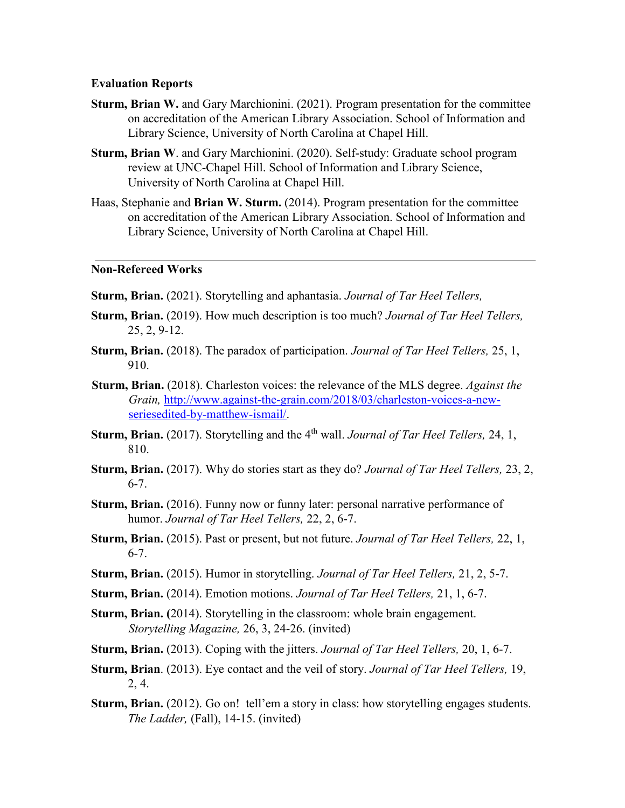#### **Evaluation Reports**

- **Sturm, Brian W.** and Gary Marchionini. (2021). Program presentation for the committee on accreditation of the American Library Association. School of Information and Library Science, University of North Carolina at Chapel Hill.
- **Sturm, Brian W**. and Gary Marchionini. (2020). Self-study: Graduate school program review at UNC-Chapel Hill. School of Information and Library Science, University of North Carolina at Chapel Hill.
- Haas, Stephanie and **Brian W. Sturm.** (2014). Program presentation for the committee on accreditation of the American Library Association. School of Information and Library Science, University of North Carolina at Chapel Hill.

## **Non-Refereed Works**

- **Sturm, Brian.** (2021). Storytelling and aphantasia. *Journal of Tar Heel Tellers,*
- **Sturm, Brian.** (2019). How much description is too much? *Journal of Tar Heel Tellers,* 25, 2, 9-12.
- **Sturm, Brian.** (2018). The paradox of participation. *Journal of Tar Heel Tellers,* 25, 1, 910.
- **Sturm, Brian.** (2018). Charleston voices: the relevance of the MLS degree. *Against the Grain[,](http://www.against-the-grain.com/2018/03/charleston-voices-a-new-series-edited-by-matthew-ismail/)* [http://www.against-the-grain.com/2018/03/charleston-voices-a-new](http://www.against-the-grain.com/2018/03/charleston-voices-a-new-series-edited-by-matthew-ismail/)[seriesedited-by-matthew-ismail/.](http://www.against-the-grain.com/2018/03/charleston-voices-a-new-series-edited-by-matthew-ismail/)
- **Sturm, Brian.** (2017). Storytelling and the 4<sup>th</sup> wall. *Journal of Tar Heel Tellers*, 24, 1, 810.
- **Sturm, Brian.** (2017). Why do stories start as they do? *Journal of Tar Heel Tellers,* 23, 2, 6-7.
- **Sturm, Brian.** (2016). Funny now or funny later: personal narrative performance of humor. *Journal of Tar Heel Tellers,* 22, 2, 6-7.
- **Sturm, Brian.** (2015). Past or present, but not future. *Journal of Tar Heel Tellers,* 22, 1, 6-7.
- **Sturm, Brian.** (2015). Humor in storytelling. *Journal of Tar Heel Tellers,* 21, 2, 5-7.
- **Sturm, Brian.** (2014). Emotion motions. *Journal of Tar Heel Tellers,* 21, 1, 6-7.
- **Sturm, Brian. (**2014). Storytelling in the classroom: whole brain engagement. *Storytelling Magazine,* 26, 3, 24-26. (invited)
- **Sturm, Brian.** (2013). Coping with the jitters. *Journal of Tar Heel Tellers,* 20, 1, 6-7.
- **Sturm, Brian**. (2013). Eye contact and the veil of story. *Journal of Tar Heel Tellers,* 19, 2, 4.
- **Sturm, Brian.** (2012). Go on! tell'em a story in class: how storytelling engages students. *The Ladder,* (Fall), 14-15. (invited)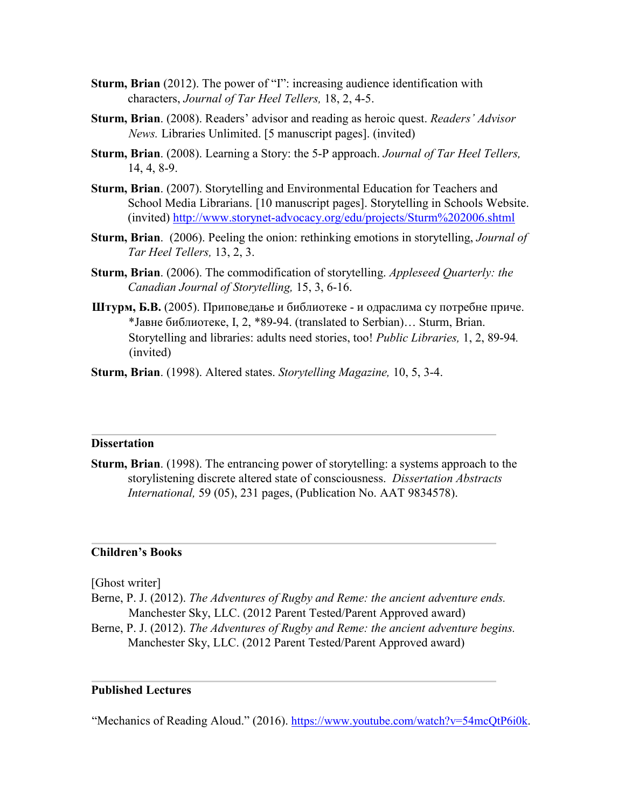- **Sturm, Brian** (2012). The power of "I": increasing audience identification with characters, *Journal of Tar Heel Tellers,* 18, 2, 4-5.
- **Sturm, Brian**. (2008). Readers' advisor and reading as heroic quest. *Readers' Advisor News.* Libraries Unlimited. [5 manuscript pages]. (invited)
- **Sturm, Brian**. (2008). Learning a Story: the 5-P approach. *Journal of Tar Heel Tellers,* 14, 4, 8-9.
- **Sturm, Brian**. (2007). Storytelling and Environmental Education for Teachers and School Media Librarians. [10 manuscript pages]. Storytelling in Schools Website. (invited)<http://www.storynet-advocacy.org/edu/projects/Sturm%202006.shtml>
- **Sturm, Brian**. (2006). Peeling the onion: rethinking emotions in storytelling, *Journal of Tar Heel Tellers,* 13, 2, 3.
- **Sturm, Brian**. (2006). The commodification of storytelling. *Appleseed Quarterly: the Canadian Journal of Storytelling,* 15, 3, 6-16.
- **Штурм, Б.В.** (2005). Приповедање и библиотеке и одраслима су потребне приче. \*Јавне библиотеке, I, 2, \*89-94. (translated to Serbian)… Sturm, Brian. Storytelling and libraries: adults need stories, too! *Public Libraries,* 1, 2, 89-94*.* (invited)
- **Sturm, Brian**. (1998). Altered states. *Storytelling Magazine,* 10, 5, 3-4.

#### **Dissertation**

**Sturm, Brian**. (1998). The entrancing power of storytelling: a systems approach to the storylistening discrete altered state of consciousness. *Dissertation Abstracts International,* 59 (05), 231 pages, (Publication No. AAT 9834578).

#### **Children's Books**

[Ghost writer]

Berne, P. J. (2012). *The Adventures of Rugby and Reme: the ancient adventure ends.* Manchester Sky, LLC. (2012 Parent Tested/Parent Approved award)

Berne, P. J. (2012). *The Adventures of Rugby and Reme: the ancient adventure begins.* Manchester Sky, LLC. (2012 Parent Tested/Parent Approved award)

## **Published Lectures**

"Mechanics of Reading Aloud." (2016). [https://www.youtube.com/watch?v=54mcQtP6i0k.](https://www.youtube.com/watch?v=54mcQtP6i0k)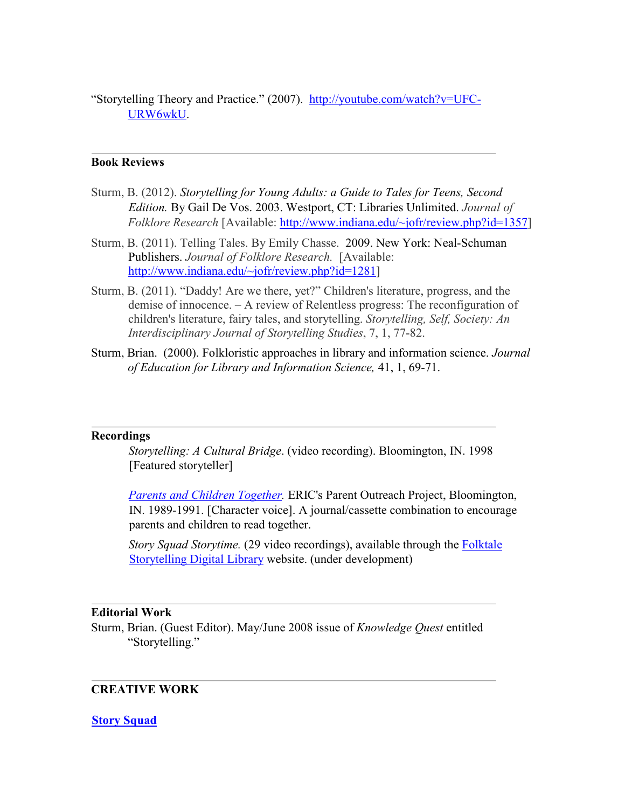"Storytelling Theory and Practice." (2007). [http://youtube.com/watch?v=UFC-](http://youtube.com/watch?v=UFC-URW6wkU)[URW6wkU.](http://youtube.com/watch?v=UFC-URW6wkU)

### **Book Reviews**

- Sturm, B. (2012). *Storytelling for Young Adults: a Guide to Tales for Teens, Second Edition.* By Gail De Vos. 2003. Westport, CT: Libraries Unlimited. *Journal of Folklore Research* [Available: [http://www.indiana.edu/~jofr/review.php?id=1357\]](http://www.indiana.edu/%7Ejofr/review.php?id=1357)
- Sturm, B. (2011). Telling Tales. By Emily Chasse. 2009. New York: Neal-Schuman Publishers. *Journal of Folklore Research.* [Available: [http://www.indiana.edu/~jofr/review.php?id=1281\]](http://www.indiana.edu/%7Ejofr/review.php?id=1281)
- Sturm, B. (2011). "Daddy! Are we there, yet?" Children's literature, progress, and the demise of innocence. – A review of Relentless progress: The reconfiguration of children's literature, fairy tales, and storytelling. *Storytelling, Self, Society: An Interdisciplinary Journal of Storytelling Studies*, 7, 1, 77-82.
- Sturm, Brian. (2000). Folkloristic approaches in library and information science. *Journal of Education for Library and Information Science,* 41, 1, 69-71.

#### **Recordings**

*Storytelling: A Cultural Bridge*. (video recording). Bloomington, IN. 1998 [Featured storyteller]

*[Parents and Children Together.](http://files.eric.ed.gov/fulltext/ED329942.pdf)* ERIC's Parent Outreach Project, Bloomington, IN. 1989-1991. [Character voice]. A journal/cassette combination to encourage parents and children to read together.

*Story Squad Storytime.* (29 video recordings), available through the [Folktale](https://app-dept-fsdl.cloudapps.unc.edu/) [Storytelling Digital Library](https://app-dept-fsdl.cloudapps.unc.edu/) website. (under development)

### **Editorial Work**

Sturm, Brian. (Guest Editor). May/June 2008 issue of *Knowledge Quest* entitled "Storytelling."

#### **CREATIVE WORK**

#### **[Story Squad](http://storysquad.net/)**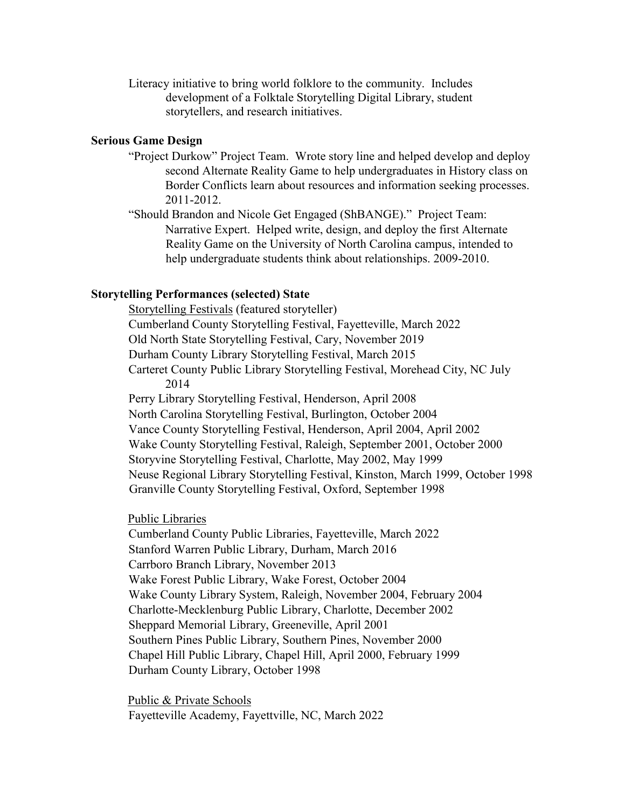Literacy initiative to bring world folklore to the community. Includes development of a Folktale Storytelling Digital Library, student storytellers, and research initiatives.

#### **Serious Game Design**

- "Project Durkow" Project Team. Wrote story line and helped develop and deploy second Alternate Reality Game to help undergraduates in History class on Border Conflicts learn about resources and information seeking processes. 2011-2012.
- "Should Brandon and Nicole Get Engaged (ShBANGE)." Project Team: Narrative Expert. Helped write, design, and deploy the first Alternate Reality Game on the University of North Carolina campus, intended to help undergraduate students think about relationships. 2009-2010.

#### **Storytelling Performances (selected) State**

Storytelling Festivals (featured storyteller) Cumberland County Storytelling Festival, Fayetteville, March 2022 Old North State Storytelling Festival, Cary, November 2019 Durham County Library Storytelling Festival, March 2015 Carteret County Public Library Storytelling Festival, Morehead City, NC July 2014 Perry Library Storytelling Festival, Henderson, April 2008 North Carolina Storytelling Festival, Burlington, October 2004 Vance County Storytelling Festival, Henderson, April 2004, April 2002 Wake County Storytelling Festival, Raleigh, September 2001, October 2000 Storyvine Storytelling Festival, Charlotte, May 2002, May 1999 Neuse Regional Library Storytelling Festival, Kinston, March 1999, October 1998 Granville County Storytelling Festival, Oxford, September 1998

#### Public Libraries

Cumberland County Public Libraries, Fayetteville, March 2022 Stanford Warren Public Library, Durham, March 2016 Carrboro Branch Library, November 2013 Wake Forest Public Library, Wake Forest, October 2004 Wake County Library System, Raleigh, November 2004, February 2004 Charlotte-Mecklenburg Public Library, Charlotte, December 2002 Sheppard Memorial Library, Greeneville, April 2001 Southern Pines Public Library, Southern Pines, November 2000 Chapel Hill Public Library, Chapel Hill, April 2000, February 1999 Durham County Library, October 1998

Public & Private Schools Fayetteville Academy, Fayettville, NC, March 2022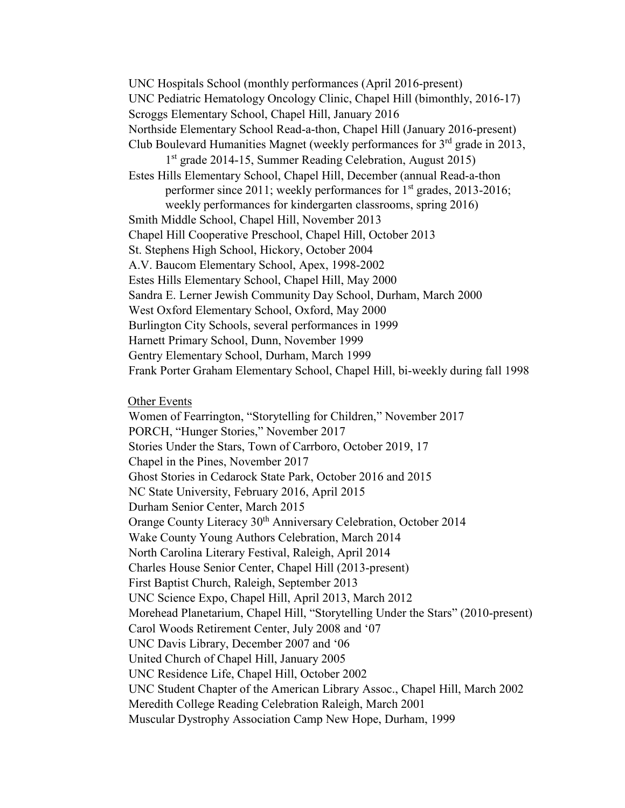UNC Hospitals School (monthly performances (April 2016-present) UNC Pediatric Hematology Oncology Clinic, Chapel Hill (bimonthly, 2016-17) Scroggs Elementary School, Chapel Hill, January 2016 Northside Elementary School Read-a-thon, Chapel Hill (January 2016-present) Club Boulevard Humanities Magnet (weekly performances for  $3<sup>rd</sup>$  grade in 2013, 1<sup>st</sup> grade 2014-15, Summer Reading Celebration, August 2015) Estes Hills Elementary School, Chapel Hill, December (annual Read-a-thon performer since 2011; weekly performances for  $1<sup>st</sup>$  grades, 2013-2016; weekly performances for kindergarten classrooms, spring 2016) Smith Middle School, Chapel Hill, November 2013 Chapel Hill Cooperative Preschool, Chapel Hill, October 2013 St. Stephens High School, Hickory, October 2004 A.V. Baucom Elementary School, Apex, 1998-2002 Estes Hills Elementary School, Chapel Hill, May 2000 Sandra E. Lerner Jewish Community Day School, Durham, March 2000 West Oxford Elementary School, Oxford, May 2000 Burlington City Schools, several performances in 1999 Harnett Primary School, Dunn, November 1999 Gentry Elementary School, Durham, March 1999 Frank Porter Graham Elementary School, Chapel Hill, bi-weekly during fall 1998

Other Events

Women of Fearrington, "Storytelling for Children," November 2017 PORCH, "Hunger Stories," November 2017 Stories Under the Stars, Town of Carrboro, October 2019, 17 Chapel in the Pines, November 2017 Ghost Stories in Cedarock State Park, October 2016 and 2015 NC State University, February 2016, April 2015 Durham Senior Center, March 2015 Orange County Literacy 30<sup>th</sup> Anniversary Celebration, October 2014 Wake County Young Authors Celebration, March 2014 North Carolina Literary Festival, Raleigh, April 2014 Charles House Senior Center, Chapel Hill (2013-present) First Baptist Church, Raleigh, September 2013 UNC Science Expo, Chapel Hill, April 2013, March 2012 Morehead Planetarium, Chapel Hill, "Storytelling Under the Stars" (2010-present) Carol Woods Retirement Center, July 2008 and '07 UNC Davis Library, December 2007 and '06 United Church of Chapel Hill, January 2005 UNC Residence Life, Chapel Hill, October 2002 UNC Student Chapter of the American Library Assoc., Chapel Hill, March 2002 Meredith College Reading Celebration Raleigh, March 2001 Muscular Dystrophy Association Camp New Hope, Durham, 1999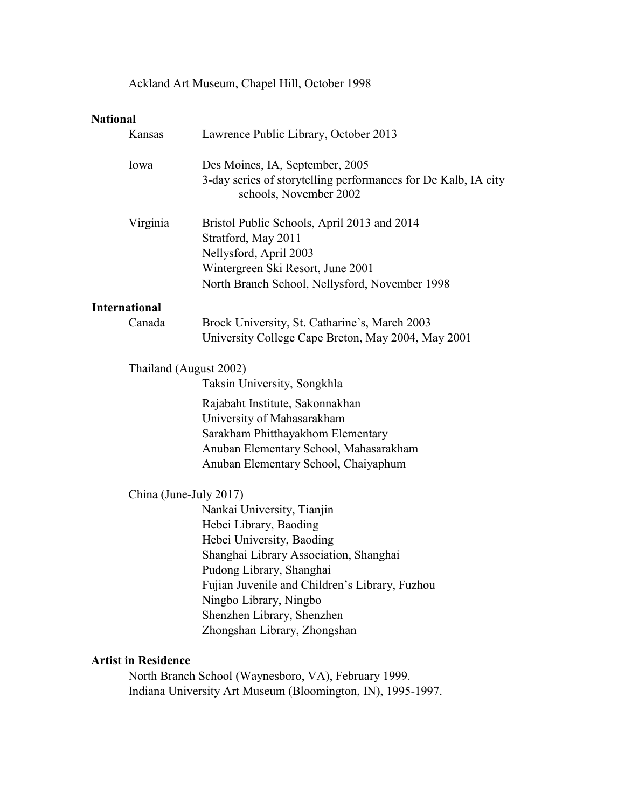Ackland Art Museum, Chapel Hill, October 1998

# **National**

|                                                      | Kansas                 | Lawrence Public Library, October 2013                                                                                                                                                                                                                                                             |  |
|------------------------------------------------------|------------------------|---------------------------------------------------------------------------------------------------------------------------------------------------------------------------------------------------------------------------------------------------------------------------------------------------|--|
|                                                      | Iowa                   | Des Moines, IA, September, 2005<br>3-day series of storytelling performances for De Kalb, IA city<br>schools, November 2002                                                                                                                                                                       |  |
|                                                      | Virginia               | Bristol Public Schools, April 2013 and 2014<br>Stratford, May 2011<br>Nellysford, April 2003<br>Wintergreen Ski Resort, June 2001<br>North Branch School, Nellysford, November 1998                                                                                                               |  |
| <b>International</b>                                 |                        |                                                                                                                                                                                                                                                                                                   |  |
|                                                      | Canada                 | Brock University, St. Catharine's, March 2003<br>University College Cape Breton, May 2004, May 2001                                                                                                                                                                                               |  |
|                                                      |                        | Thailand (August 2002)<br>Taksin University, Songkhla                                                                                                                                                                                                                                             |  |
|                                                      |                        | Rajabaht Institute, Sakonnakhan<br>University of Mahasarakham<br>Sarakham Phitthayakhom Elementary<br>Anuban Elementary School, Mahasarakham<br>Anuban Elementary School, Chaiyaphum                                                                                                              |  |
|                                                      | China (June-July 2017) |                                                                                                                                                                                                                                                                                                   |  |
|                                                      |                        | Nankai University, Tianjin<br>Hebei Library, Baoding<br>Hebei University, Baoding<br>Shanghai Library Association, Shanghai<br>Pudong Library, Shanghai<br>Fujian Juvenile and Children's Library, Fuzhou<br>Ningbo Library, Ningbo<br>Shenzhen Library, Shenzhen<br>Zhongshan Library, Zhongshan |  |
| <b>Artist in Residence</b>                           |                        |                                                                                                                                                                                                                                                                                                   |  |
| North Branch School (Waynesboro, VA), February 1999. |                        |                                                                                                                                                                                                                                                                                                   |  |

Indiana University Art Museum (Bloomington, IN), 1995-1997.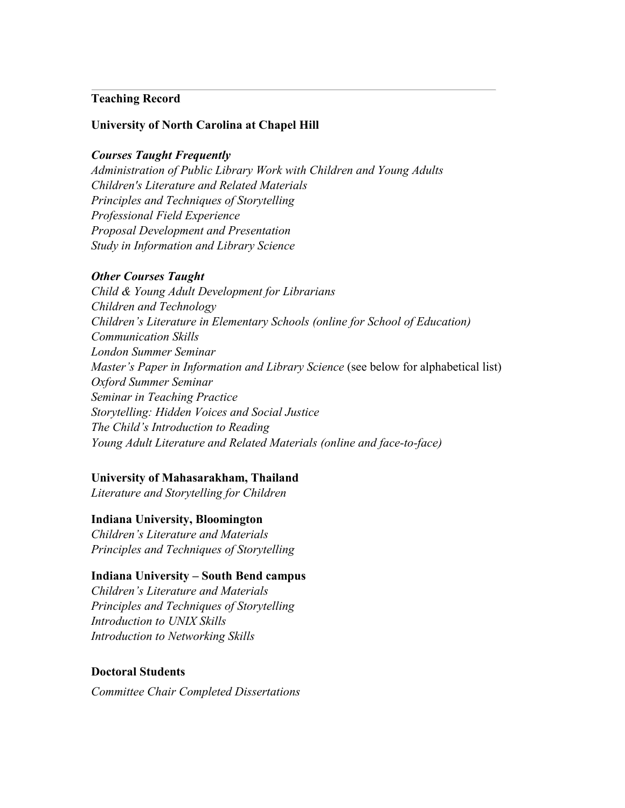## **Teaching Record**

## **University of North Carolina at Chapel Hill**

#### *Courses Taught Frequently*

*Administration of Public Library Work with Children and Young Adults Children's Literature and Related Materials Principles and Techniques of Storytelling Professional Field Experience Proposal Development and Presentation Study in Information and Library Science* 

#### *Other Courses Taught*

*Child & Young Adult Development for Librarians Children and Technology Children's Literature in Elementary Schools (online for School of Education) Communication Skills London Summer Seminar Master's Paper in Information and Library Science* (see below for alphabetical list) *Oxford Summer Seminar Seminar in Teaching Practice Storytelling: Hidden Voices and Social Justice The Child's Introduction to Reading Young Adult Literature and Related Materials (online and face-to-face)* 

#### **University of Mahasarakham, Thailand**

*Literature and Storytelling for Children* 

#### **Indiana University, Bloomington**

*Children's Literature and Materials Principles and Techniques of Storytelling*

#### **Indiana University – South Bend campus**

*Children's Literature and Materials Principles and Techniques of Storytelling Introduction to UNIX Skills Introduction to Networking Skills*

### **Doctoral Students**

*Committee Chair Completed Dissertations*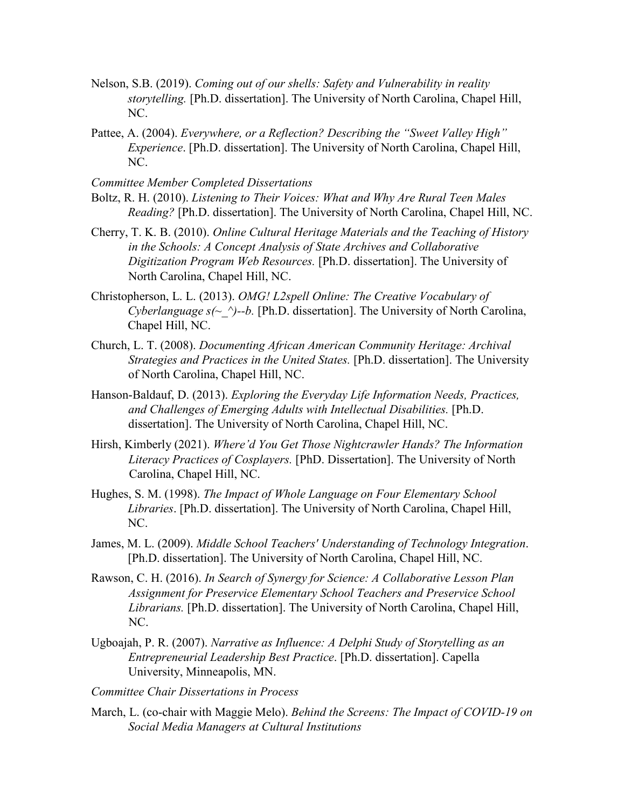- Nelson, S.B. (2019). *Coming out of our shells: Safety and Vulnerability in reality storytelling.* [Ph.D. dissertation]. The University of North Carolina, Chapel Hill, NC.
- Pattee, A. (2004). *Everywhere, or a Reflection? Describing the "Sweet Valley High" Experience*. [Ph.D. dissertation]. The University of North Carolina, Chapel Hill, NC.

*Committee Member Completed Dissertations*

- Boltz, R. H. (2010). *Listening to Their Voices: What and Why Are Rural Teen Males Reading?* [Ph.D. dissertation]. The University of North Carolina, Chapel Hill, NC.
- Cherry, T. K. B. (2010). *Online Cultural Heritage Materials and the Teaching of History in the Schools: A Concept Analysis of State Archives and Collaborative Digitization Program Web Resources.* [Ph.D. dissertation]. The University of North Carolina, Chapel Hill, NC.
- Christopherson, L. L. (2013). *OMG! L2spell Online: The Creative Vocabulary of Cyberlanguage s(~ ^)--b.* [Ph.D. dissertation]. The University of North Carolina, Chapel Hill, NC.
- Church, L. T. (2008). *Documenting African American Community Heritage: Archival Strategies and Practices in the United States.* [Ph.D. dissertation]. The University of North Carolina, Chapel Hill, NC.
- Hanson-Baldauf, D. (2013). *Exploring the Everyday Life Information Needs, Practices, and Challenges of Emerging Adults with Intellectual Disabilities.* [Ph.D. dissertation]. The University of North Carolina, Chapel Hill, NC.
- Hirsh, Kimberly (2021). *Where'd You Get Those Nightcrawler Hands? The Information Literacy Practices of Cosplayers.* [PhD. Dissertation]. The University of North Carolina, Chapel Hill, NC.
- Hughes, S. M. (1998). *The Impact of Whole Language on Four Elementary School Libraries*. [Ph.D. dissertation]. The University of North Carolina, Chapel Hill, NC.
- James, M. L. (2009). *Middle School Teachers' Understanding of Technology Integration*. [Ph.D. dissertation]. The University of North Carolina, Chapel Hill, NC.
- Rawson, C. H. (2016). *In Search of Synergy for Science: A Collaborative Lesson Plan Assignment for Preservice Elementary School Teachers and Preservice School Librarians.* [Ph.D. dissertation]. The University of North Carolina, Chapel Hill, NC.
- Ugboajah, P. R. (2007). *Narrative as Influence: A Delphi Study of Storytelling as an Entrepreneurial Leadership Best Practice*. [Ph.D. dissertation]. Capella University, Minneapolis, MN.
- *Committee Chair Dissertations in Process*
- March, L. (co-chair with Maggie Melo). *Behind the Screens: The Impact of COVID-19 on Social Media Managers at Cultural Institutions*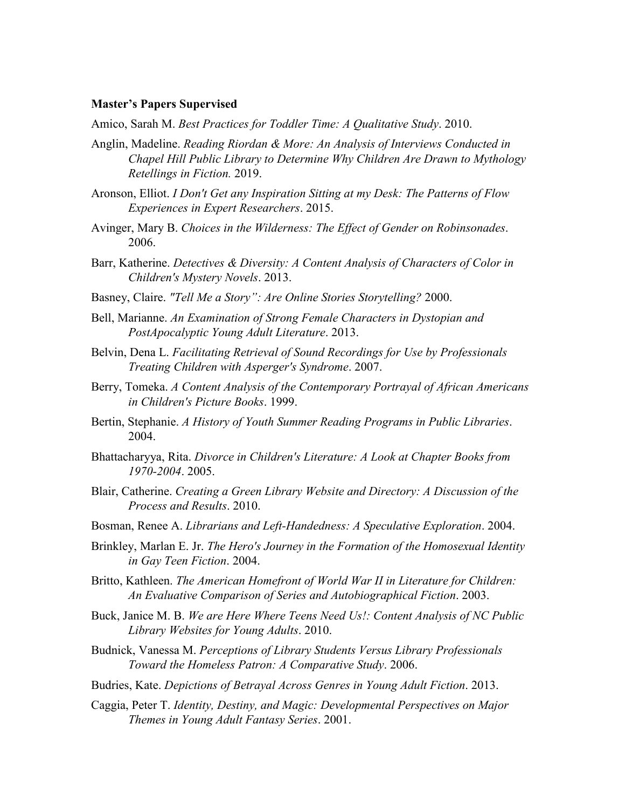#### **Master's Papers Supervised**

Amico, Sarah M. *Best Practices for Toddler Time: A Qualitative Study*. 2010.

- Anglin, Madeline. *Reading Riordan & More: An Analysis of Interviews Conducted in Chapel Hill Public Library to Determine Why Children Are Drawn to Mythology Retellings in Fiction.* 2019.
- Aronson, Elliot. *I Don't Get any Inspiration Sitting at my Desk: The Patterns of Flow Experiences in Expert Researchers*. 2015.
- Avinger, Mary B. *Choices in the Wilderness: The Effect of Gender on Robinsonades*. 2006.
- Barr, Katherine. *Detectives & Diversity: A Content Analysis of Characters of Color in Children's Mystery Novels*. 2013.
- Basney, Claire. *"Tell Me a Story": Are Online Stories Storytelling?* 2000.
- Bell, Marianne. *An Examination of Strong Female Characters in Dystopian and PostApocalyptic Young Adult Literature*. 2013.
- Belvin, Dena L. *Facilitating Retrieval of Sound Recordings for Use by Professionals Treating Children with Asperger's Syndrome*. 2007.
- Berry, Tomeka. *A Content Analysis of the Contemporary Portrayal of African Americans in Children's Picture Books*. 1999.
- Bertin, Stephanie. *A History of Youth Summer Reading Programs in Public Libraries*. 2004.
- Bhattacharyya, Rita. *Divorce in Children's Literature: A Look at Chapter Books from 1970-2004*. 2005.
- Blair, Catherine. *Creating a Green Library Website and Directory: A Discussion of the Process and Results*. 2010.
- Bosman, Renee A. *Librarians and Left-Handedness: A Speculative Exploration*. 2004.
- Brinkley, Marlan E. Jr. *The Hero's Journey in the Formation of the Homosexual Identity in Gay Teen Fiction*. 2004.
- Britto, Kathleen. *The American Homefront of World War II in Literature for Children: An Evaluative Comparison of Series and Autobiographical Fiction*. 2003.
- Buck, Janice M. B. *We are Here Where Teens Need Us!: Content Analysis of NC Public Library Websites for Young Adults*. 2010.
- Budnick, Vanessa M. *Perceptions of Library Students Versus Library Professionals Toward the Homeless Patron: A Comparative Study*. 2006.
- Budries, Kate. *Depictions of Betrayal Across Genres in Young Adult Fiction*. 2013.
- Caggia, Peter T. *Identity, Destiny, and Magic: Developmental Perspectives on Major Themes in Young Adult Fantasy Series*. 2001.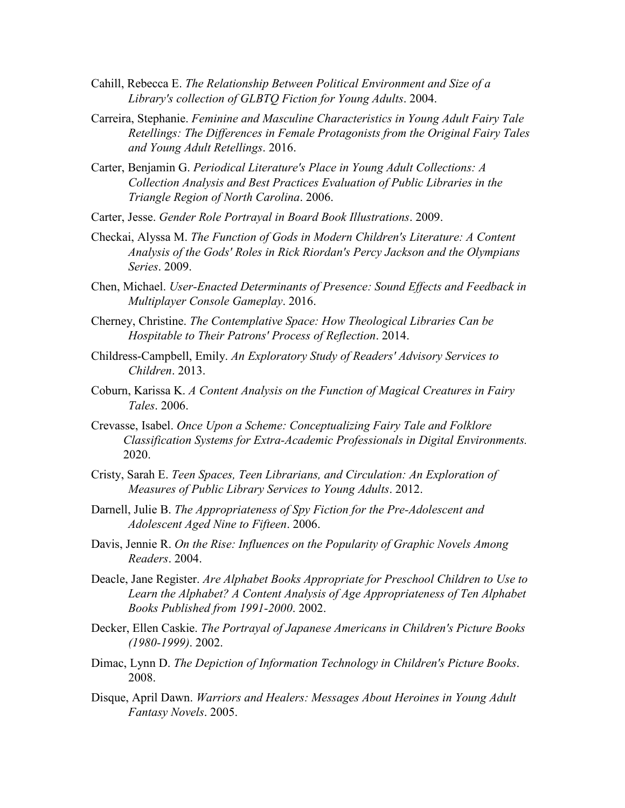- Cahill, Rebecca E. *The Relationship Between Political Environment and Size of a Library's collection of GLBTQ Fiction for Young Adults*. 2004.
- Carreira, Stephanie. *Feminine and Masculine Characteristics in Young Adult Fairy Tale Retellings: The Differences in Female Protagonists from the Original Fairy Tales and Young Adult Retellings*. 2016.
- Carter, Benjamin G. *Periodical Literature's Place in Young Adult Collections: A Collection Analysis and Best Practices Evaluation of Public Libraries in the Triangle Region of North Carolina*. 2006.
- Carter, Jesse. *Gender Role Portrayal in Board Book Illustrations*. 2009.
- Checkai, Alyssa M. *The Function of Gods in Modern Children's Literature: A Content Analysis of the Gods' Roles in Rick Riordan's Percy Jackson and the Olympians Series*. 2009.
- Chen, Michael. *User-Enacted Determinants of Presence: Sound Effects and Feedback in Multiplayer Console Gameplay*. 2016.
- Cherney, Christine. *The Contemplative Space: How Theological Libraries Can be Hospitable to Their Patrons' Process of Reflection*. 2014.
- Childress-Campbell, Emily. *An Exploratory Study of Readers' Advisory Services to Children*. 2013.
- Coburn, Karissa K. *A Content Analysis on the Function of Magical Creatures in Fairy Tales*. 2006.
- Crevasse, Isabel. *Once Upon a Scheme: Conceptualizing Fairy Tale and Folklore Classification Systems for Extra-Academic Professionals in Digital Environments.* 2020.
- Cristy, Sarah E. *Teen Spaces, Teen Librarians, and Circulation: An Exploration of Measures of Public Library Services to Young Adults*. 2012.
- Darnell, Julie B. *The Appropriateness of Spy Fiction for the Pre-Adolescent and Adolescent Aged Nine to Fifteen*. 2006.
- Davis, Jennie R. *On the Rise: Influences on the Popularity of Graphic Novels Among Readers*. 2004.
- Deacle, Jane Register. *Are Alphabet Books Appropriate for Preschool Children to Use to Learn the Alphabet? A Content Analysis of Age Appropriateness of Ten Alphabet Books Published from 1991-2000*. 2002.
- Decker, Ellen Caskie. *The Portrayal of Japanese Americans in Children's Picture Books (1980-1999)*. 2002.
- Dimac, Lynn D. *The Depiction of Information Technology in Children's Picture Books*. 2008.
- Disque, April Dawn. *Warriors and Healers: Messages About Heroines in Young Adult Fantasy Novels*. 2005.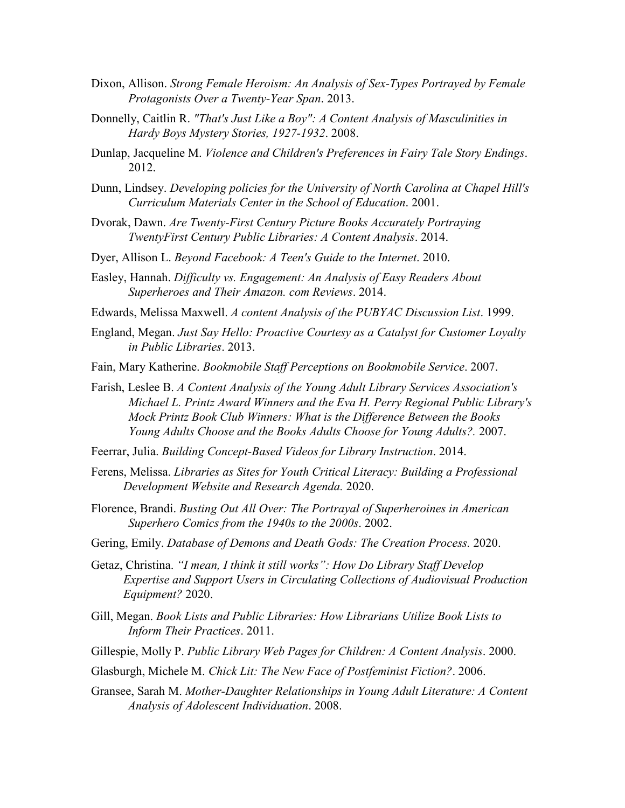- Dixon, Allison. *Strong Female Heroism: An Analysis of Sex-Types Portrayed by Female Protagonists Over a Twenty-Year Span*. 2013.
- Donnelly, Caitlin R. *"That's Just Like a Boy": A Content Analysis of Masculinities in Hardy Boys Mystery Stories, 1927-1932*. 2008.
- Dunlap, Jacqueline M. *Violence and Children's Preferences in Fairy Tale Story Endings*. 2012.
- Dunn, Lindsey. *Developing policies for the University of North Carolina at Chapel Hill's Curriculum Materials Center in the School of Education*. 2001.
- Dvorak, Dawn. *Are Twenty-First Century Picture Books Accurately Portraying TwentyFirst Century Public Libraries: A Content Analysis*. 2014.
- Dyer, Allison L. *Beyond Facebook: A Teen's Guide to the Internet*. 2010.
- Easley, Hannah. *Difficulty vs. Engagement: An Analysis of Easy Readers About Superheroes and Their Amazon. com Reviews*. 2014.
- Edwards, Melissa Maxwell. *A content Analysis of the PUBYAC Discussion List*. 1999.
- England, Megan. *Just Say Hello: Proactive Courtesy as a Catalyst for Customer Loyalty in Public Libraries*. 2013.
- Fain, Mary Katherine. *Bookmobile Staff Perceptions on Bookmobile Service*. 2007.
- Farish, Leslee B. *A Content Analysis of the Young Adult Library Services Association's Michael L. Printz Award Winners and the Eva H. Perry Regional Public Library's Mock Printz Book Club Winners: What is the Difference Between the Books Young Adults Choose and the Books Adults Choose for Young Adults?.* 2007.
- Feerrar, Julia. *Building Concept-Based Videos for Library Instruction*. 2014.
- Ferens, Melissa. *Libraries as Sites for Youth Critical Literacy: Building a Professional Development Website and Research Agenda.* 2020.
- Florence, Brandi. *Busting Out All Over: The Portrayal of Superheroines in American Superhero Comics from the 1940s to the 2000s*. 2002.
- Gering, Emily. *Database of Demons and Death Gods: The Creation Process.* 2020.
- Getaz, Christina. *"I mean, I think it still works": How Do Library Staff Develop Expertise and Support Users in Circulating Collections of Audiovisual Production Equipment?* 2020.
- Gill, Megan. *Book Lists and Public Libraries: How Librarians Utilize Book Lists to Inform Their Practices*. 2011.
- Gillespie, Molly P. *Public Library Web Pages for Children: A Content Analysis*. 2000.
- Glasburgh, Michele M. *Chick Lit: The New Face of Postfeminist Fiction?*. 2006.
- Gransee, Sarah M. *Mother-Daughter Relationships in Young Adult Literature: A Content Analysis of Adolescent Individuation*. 2008.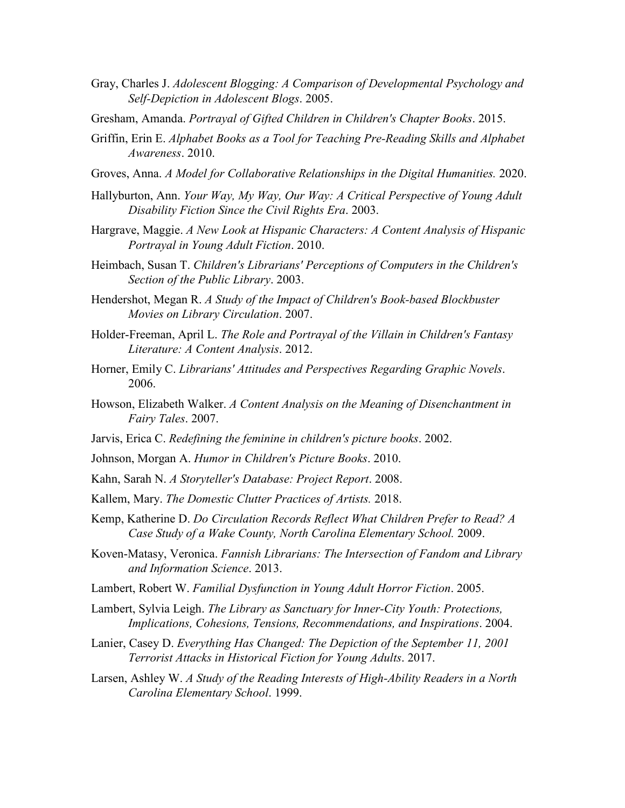- Gray, Charles J. *Adolescent Blogging: A Comparison of Developmental Psychology and Self-Depiction in Adolescent Blogs*. 2005.
- Gresham, Amanda. *Portrayal of Gifted Children in Children's Chapter Books*. 2015.
- Griffin, Erin E. *Alphabet Books as a Tool for Teaching Pre-Reading Skills and Alphabet Awareness*. 2010.
- Groves, Anna. *A Model for Collaborative Relationships in the Digital Humanities.* 2020.
- Hallyburton, Ann. *Your Way, My Way, Our Way: A Critical Perspective of Young Adult Disability Fiction Since the Civil Rights Era*. 2003.
- Hargrave, Maggie. *A New Look at Hispanic Characters: A Content Analysis of Hispanic Portrayal in Young Adult Fiction*. 2010.
- Heimbach, Susan T. *Children's Librarians' Perceptions of Computers in the Children's Section of the Public Library*. 2003.
- Hendershot, Megan R. *A Study of the Impact of Children's Book-based Blockbuster Movies on Library Circulation*. 2007.
- Holder-Freeman, April L. *The Role and Portrayal of the Villain in Children's Fantasy Literature: A Content Analysis*. 2012.
- Horner, Emily C. *Librarians' Attitudes and Perspectives Regarding Graphic Novels*. 2006.
- Howson, Elizabeth Walker. *A Content Analysis on the Meaning of Disenchantment in Fairy Tales*. 2007.
- Jarvis, Erica C. *Redefining the feminine in children's picture books*. 2002.
- Johnson, Morgan A. *Humor in Children's Picture Books*. 2010.
- Kahn, Sarah N. *A Storyteller's Database: Project Report*. 2008.
- Kallem, Mary. *The Domestic Clutter Practices of Artists.* 2018.
- Kemp, Katherine D. *Do Circulation Records Reflect What Children Prefer to Read? A Case Study of a Wake County, North Carolina Elementary School.* 2009.
- Koven-Matasy, Veronica. *Fannish Librarians: The Intersection of Fandom and Library and Information Science*. 2013.
- Lambert, Robert W. *Familial Dysfunction in Young Adult Horror Fiction*. 2005.
- Lambert, Sylvia Leigh. *The Library as Sanctuary for Inner-City Youth: Protections, Implications, Cohesions, Tensions, Recommendations, and Inspirations*. 2004.
- Lanier, Casey D. *Everything Has Changed: The Depiction of the September 11, 2001 Terrorist Attacks in Historical Fiction for Young Adults*. 2017.
- Larsen, Ashley W. *A Study of the Reading Interests of High-Ability Readers in a North Carolina Elementary School*. 1999.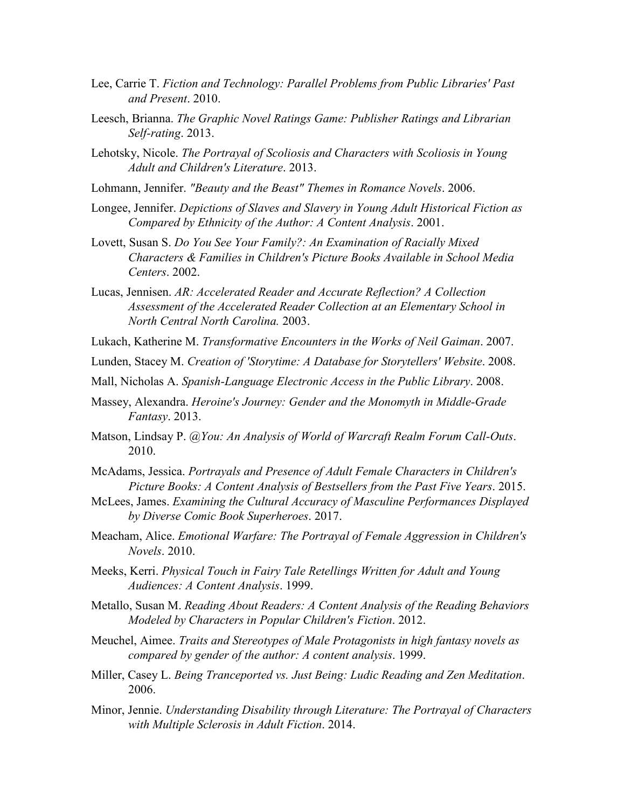- Lee, Carrie T. *Fiction and Technology: Parallel Problems from Public Libraries' Past and Present*. 2010.
- Leesch, Brianna. *The Graphic Novel Ratings Game: Publisher Ratings and Librarian Self-rating*. 2013.
- Lehotsky, Nicole. *The Portrayal of Scoliosis and Characters with Scoliosis in Young Adult and Children's Literature*. 2013.
- Lohmann, Jennifer. *"Beauty and the Beast" Themes in Romance Novels*. 2006.
- Longee, Jennifer. *Depictions of Slaves and Slavery in Young Adult Historical Fiction as Compared by Ethnicity of the Author: A Content Analysis*. 2001.
- Lovett, Susan S. *Do You See Your Family?: An Examination of Racially Mixed Characters & Families in Children's Picture Books Available in School Media Centers*. 2002.
- Lucas, Jennisen. *AR: Accelerated Reader and Accurate Reflection? A Collection Assessment of the Accelerated Reader Collection at an Elementary School in North Central North Carolina.* 2003.
- Lukach, Katherine M. *Transformative Encounters in the Works of Neil Gaiman*. 2007.
- Lunden, Stacey M. *Creation of 'Storytime: A Database for Storytellers' Website*. 2008.
- Mall, Nicholas A. *Spanish-Language Electronic Access in the Public Library*. 2008.
- Massey, Alexandra. *Heroine's Journey: Gender and the Monomyth in Middle-Grade Fantasy*. 2013.
- Matson, Lindsay P. *@You: An Analysis of World of Warcraft Realm Forum Call-Outs*. 2010.
- McAdams, Jessica. *Portrayals and Presence of Adult Female Characters in Children's Picture Books: A Content Analysis of Bestsellers from the Past Five Years*. 2015.
- McLees, James. *Examining the Cultural Accuracy of Masculine Performances Displayed by Diverse Comic Book Superheroes*. 2017.
- Meacham, Alice. *Emotional Warfare: The Portrayal of Female Aggression in Children's Novels*. 2010.
- Meeks, Kerri. *Physical Touch in Fairy Tale Retellings Written for Adult and Young Audiences: A Content Analysis*. 1999.
- Metallo, Susan M. *Reading About Readers: A Content Analysis of the Reading Behaviors Modeled by Characters in Popular Children's Fiction*. 2012.
- Meuchel, Aimee. *Traits and Stereotypes of Male Protagonists in high fantasy novels as compared by gender of the author: A content analysis*. 1999.
- Miller, Casey L. *Being Tranceported vs. Just Being: Ludic Reading and Zen Meditation*. 2006.
- Minor, Jennie. *Understanding Disability through Literature: The Portrayal of Characters with Multiple Sclerosis in Adult Fiction*. 2014.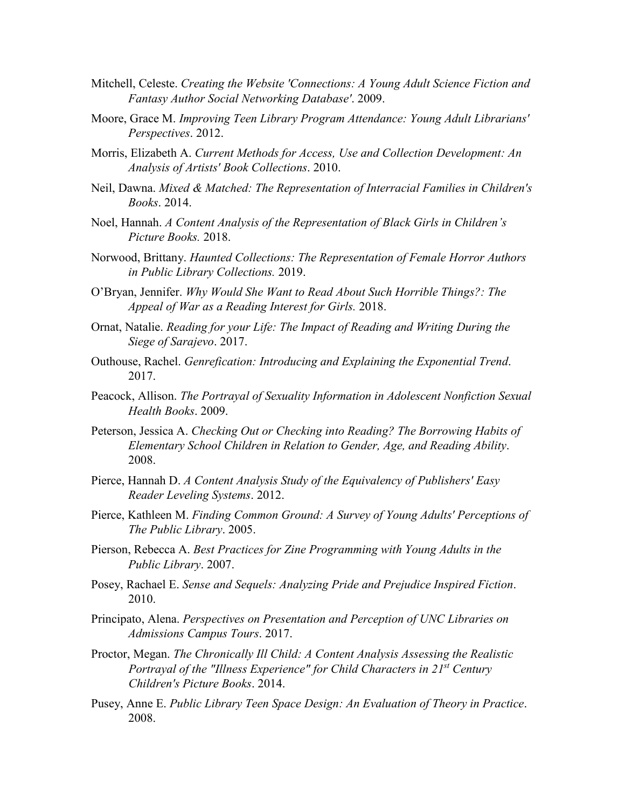- Mitchell, Celeste. *Creating the Website 'Connections: A Young Adult Science Fiction and Fantasy Author Social Networking Database'*. 2009.
- Moore, Grace M. *Improving Teen Library Program Attendance: Young Adult Librarians' Perspectives*. 2012.
- Morris, Elizabeth A. *Current Methods for Access, Use and Collection Development: An Analysis of Artists' Book Collections*. 2010.
- Neil, Dawna. *Mixed & Matched: The Representation of Interracial Families in Children's Books*. 2014.
- Noel, Hannah. *A Content Analysis of the Representation of Black Girls in Children's Picture Books.* 2018.
- Norwood, Brittany. *Haunted Collections: The Representation of Female Horror Authors in Public Library Collections.* 2019.
- O'Bryan, Jennifer. *Why Would She Want to Read About Such Horrible Things?: The Appeal of War as a Reading Interest for Girls.* 2018.
- Ornat, Natalie. *Reading for your Life: The Impact of Reading and Writing During the Siege of Sarajevo*. 2017.
- Outhouse, Rachel. *Genrefication: Introducing and Explaining the Exponential Trend*. 2017.
- Peacock, Allison. *The Portrayal of Sexuality Information in Adolescent Nonfiction Sexual Health Books*. 2009.
- Peterson, Jessica A. *Checking Out or Checking into Reading? The Borrowing Habits of Elementary School Children in Relation to Gender, Age, and Reading Ability*. 2008.
- Pierce, Hannah D. *A Content Analysis Study of the Equivalency of Publishers' Easy Reader Leveling Systems*. 2012.
- Pierce, Kathleen M. *Finding Common Ground: A Survey of Young Adults' Perceptions of The Public Library*. 2005.
- Pierson, Rebecca A. *Best Practices for Zine Programming with Young Adults in the Public Library*. 2007.
- Posey, Rachael E. *Sense and Sequels: Analyzing Pride and Prejudice Inspired Fiction*. 2010.
- Principato, Alena. *Perspectives on Presentation and Perception of UNC Libraries on Admissions Campus Tours*. 2017.
- Proctor, Megan. *The Chronically Ill Child: A Content Analysis Assessing the Realistic Portrayal of the "Illness Experience" for Child Characters in 21st Century Children's Picture Books*. 2014.
- Pusey, Anne E. *Public Library Teen Space Design: An Evaluation of Theory in Practice*. 2008.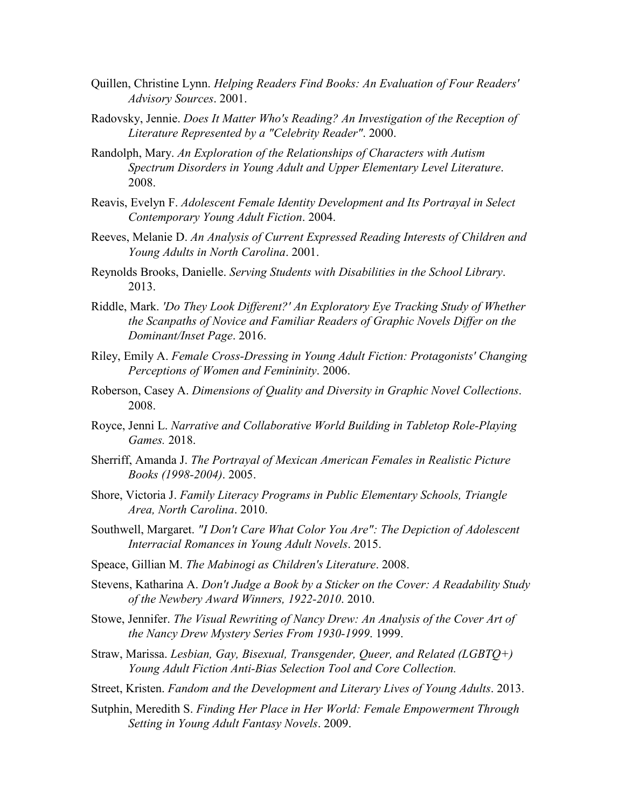- Quillen, Christine Lynn. *Helping Readers Find Books: An Evaluation of Four Readers' Advisory Sources*. 2001.
- Radovsky, Jennie. *Does It Matter Who's Reading? An Investigation of the Reception of Literature Represented by a "Celebrity Reader"*. 2000.
- Randolph, Mary. *An Exploration of the Relationships of Characters with Autism Spectrum Disorders in Young Adult and Upper Elementary Level Literature*. 2008.
- Reavis, Evelyn F. *Adolescent Female Identity Development and Its Portrayal in Select Contemporary Young Adult Fiction*. 2004.
- Reeves, Melanie D. *An Analysis of Current Expressed Reading Interests of Children and Young Adults in North Carolina*. 2001.
- Reynolds Brooks, Danielle. *Serving Students with Disabilities in the School Library*. 2013.
- Riddle, Mark. *'Do They Look Different?' An Exploratory Eye Tracking Study of Whether the Scanpaths of Novice and Familiar Readers of Graphic Novels Differ on the Dominant/Inset Page*. 2016.
- Riley, Emily A. *Female Cross-Dressing in Young Adult Fiction: Protagonists' Changing Perceptions of Women and Femininity*. 2006.
- Roberson, Casey A. *Dimensions of Quality and Diversity in Graphic Novel Collections*. 2008.
- Royce, Jenni L. *Narrative and Collaborative World Building in Tabletop Role-Playing Games.* 2018.
- Sherriff, Amanda J. *The Portrayal of Mexican American Females in Realistic Picture Books (1998-2004)*. 2005.
- Shore, Victoria J. *Family Literacy Programs in Public Elementary Schools, Triangle Area, North Carolina*. 2010.
- Southwell, Margaret. *"I Don't Care What Color You Are": The Depiction of Adolescent Interracial Romances in Young Adult Novels*. 2015.
- Speace, Gillian M. *The Mabinogi as Children's Literature*. 2008.
- Stevens, Katharina A. *Don't Judge a Book by a Sticker on the Cover: A Readability Study of the Newbery Award Winners, 1922-2010*. 2010.
- Stowe, Jennifer. *The Visual Rewriting of Nancy Drew: An Analysis of the Cover Art of the Nancy Drew Mystery Series From 1930-1999*. 1999.
- Straw, Marissa. *Lesbian, Gay, Bisexual, Transgender, Queer, and Related (LGBTQ+) Young Adult Fiction Anti-Bias Selection Tool and Core Collection.*
- Street, Kristen. *Fandom and the Development and Literary Lives of Young Adults*. 2013.
- Sutphin, Meredith S. *Finding Her Place in Her World: Female Empowerment Through Setting in Young Adult Fantasy Novels*. 2009.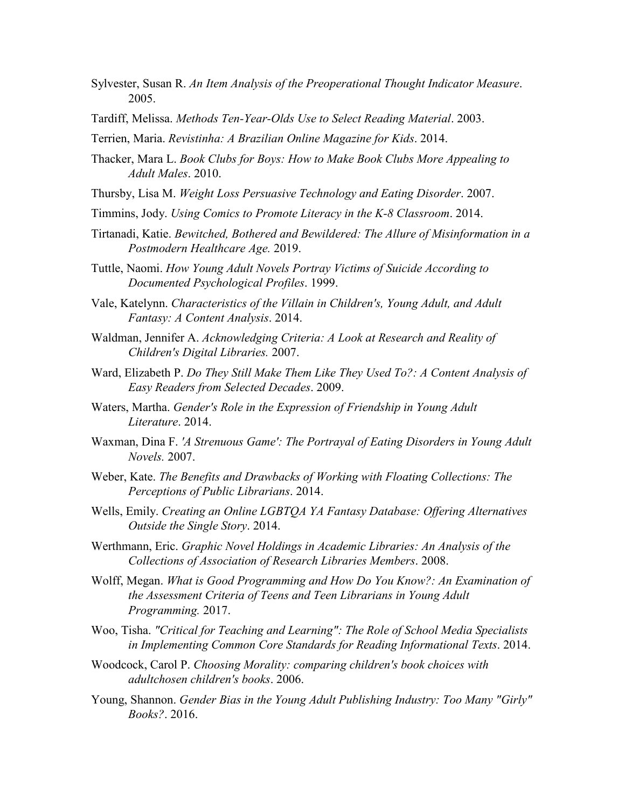- Sylvester, Susan R. *An Item Analysis of the Preoperational Thought Indicator Measure*. 2005.
- Tardiff, Melissa. *Methods Ten-Year-Olds Use to Select Reading Material*. 2003.
- Terrien, Maria. *Revistinha: A Brazilian Online Magazine for Kids*. 2014.
- Thacker, Mara L. *Book Clubs for Boys: How to Make Book Clubs More Appealing to Adult Males*. 2010.
- Thursby, Lisa M. *Weight Loss Persuasive Technology and Eating Disorder*. 2007.
- Timmins, Jody. *Using Comics to Promote Literacy in the K-8 Classroom*. 2014.
- Tirtanadi, Katie. *Bewitched, Bothered and Bewildered: The Allure of Misinformation in a Postmodern Healthcare Age.* 2019.
- Tuttle, Naomi. *How Young Adult Novels Portray Victims of Suicide According to Documented Psychological Profiles*. 1999.
- Vale, Katelynn. *Characteristics of the Villain in Children's, Young Adult, and Adult Fantasy: A Content Analysis*. 2014.
- Waldman, Jennifer A. *Acknowledging Criteria: A Look at Research and Reality of Children's Digital Libraries.* 2007.
- Ward, Elizabeth P. *Do They Still Make Them Like They Used To?: A Content Analysis of Easy Readers from Selected Decades*. 2009.
- Waters, Martha. *Gender's Role in the Expression of Friendship in Young Adult Literature*. 2014.
- Waxman, Dina F. *'A Strenuous Game': The Portrayal of Eating Disorders in Young Adult Novels.* 2007.
- Weber, Kate. *The Benefits and Drawbacks of Working with Floating Collections: The Perceptions of Public Librarians*. 2014.
- Wells, Emily. *Creating an Online LGBTQA YA Fantasy Database: Offering Alternatives Outside the Single Story*. 2014.
- Werthmann, Eric. *Graphic Novel Holdings in Academic Libraries: An Analysis of the Collections of Association of Research Libraries Members*. 2008.
- Wolff, Megan. *What is Good Programming and How Do You Know?: An Examination of the Assessment Criteria of Teens and Teen Librarians in Young Adult Programming.* 2017.
- Woo, Tisha. *"Critical for Teaching and Learning": The Role of School Media Specialists in Implementing Common Core Standards for Reading Informational Texts*. 2014.
- Woodcock, Carol P. *Choosing Morality: comparing children's book choices with adultchosen children's books*. 2006.
- Young, Shannon. *Gender Bias in the Young Adult Publishing Industry: Too Many "Girly" Books?*. 2016.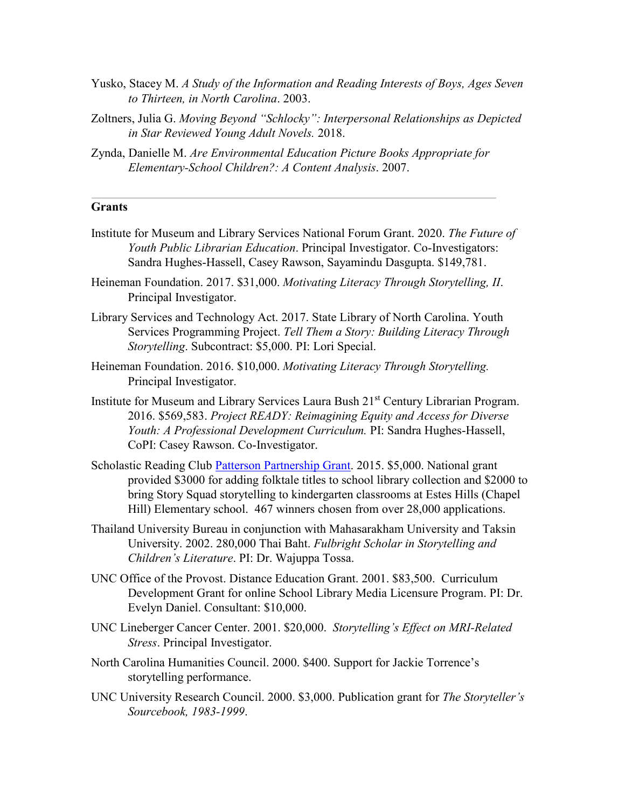- Yusko, Stacey M. *A Study of the Information and Reading Interests of Boys, Ages Seven to Thirteen, in North Carolina*. 2003.
- Zoltners, Julia G. *Moving Beyond "Schlocky": Interpersonal Relationships as Depicted in Star Reviewed Young Adult Novels.* 2018.
- Zynda, Danielle M. *Are Environmental Education Picture Books Appropriate for Elementary-School Children?: A Content Analysis*. 2007.

### **Grants**

- Institute for Museum and Library Services National Forum Grant. 2020. *The Future of Youth Public Librarian Education*. Principal Investigator. Co-Investigators: Sandra Hughes-Hassell, Casey Rawson, Sayamindu Dasgupta. \$149,781.
- Heineman Foundation. 2017. \$31,000. *Motivating Literacy Through Storytelling, II*. Principal Investigator.
- Library Services and Technology Act. 2017. State Library of North Carolina. Youth Services Programming Project. *Tell Them a Story: Building Literacy Through Storytelling*. Subcontract: \$5,000. PI: Lori Special.
- Heineman Foundation. 2016. \$10,000. *Motivating Literacy Through Storytelling.*  Principal Investigator.
- Institute for Museum and Library Services Laura Bush 21st Century Librarian Program. 2016. \$569,583. *Project READY: Reimagining Equity and Access for Diverse Youth: A Professional Development Curriculum.* PI: Sandra Hughes-Hassell, CoPI: Casey Rawson. Co-Investigator.
- Scholastic Reading Club [Patterson Partnership Grant.](http://www.scholastic.com/pattersonpartnership/) 2015. \$5,000. National grant provided \$3000 for adding folktale titles to school library collection and \$2000 to bring Story Squad storytelling to kindergarten classrooms at Estes Hills (Chapel Hill) Elementary school. 467 winners chosen from over 28,000 applications.
- Thailand University Bureau in conjunction with Mahasarakham University and Taksin University. 2002. 280,000 Thai Baht. *Fulbright Scholar in Storytelling and Children's Literature*. PI: Dr. Wajuppa Tossa.
- UNC Office of the Provost. Distance Education Grant. 2001. \$83,500. Curriculum Development Grant for online School Library Media Licensure Program. PI: Dr. Evelyn Daniel. Consultant: \$10,000.
- UNC Lineberger Cancer Center. 2001. \$20,000. *Storytelling's Effect on MRI-Related Stress*. Principal Investigator.
- North Carolina Humanities Council. 2000. \$400. Support for Jackie Torrence's storytelling performance.
- UNC University Research Council. 2000. \$3,000. Publication grant for *The Storyteller's Sourcebook, 1983-1999*.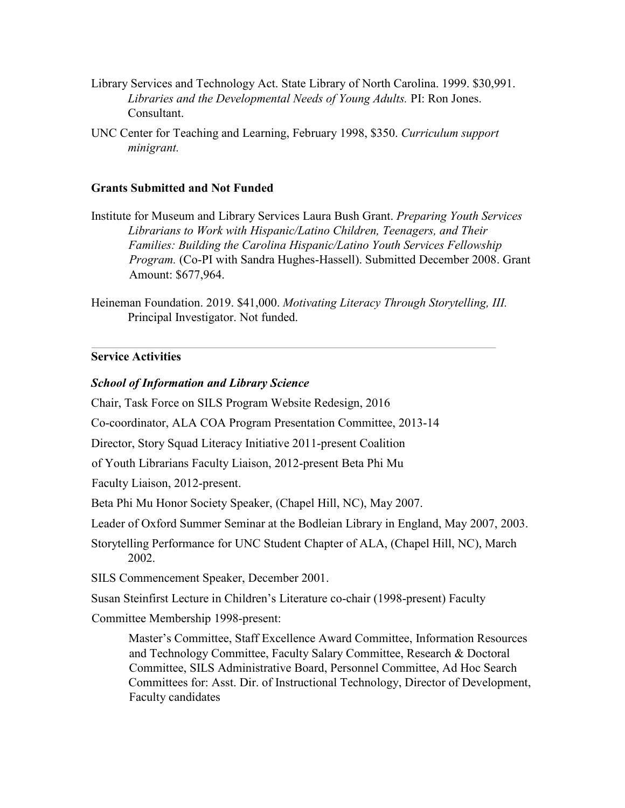- Library Services and Technology Act. State Library of North Carolina. 1999. \$30,991. *Libraries and the Developmental Needs of Young Adults.* PI: Ron Jones. Consultant.
- UNC Center for Teaching and Learning, February 1998, \$350. *Curriculum support minigrant.*

#### **Grants Submitted and Not Funded**

- Institute for Museum and Library Services Laura Bush Grant. *Preparing Youth Services Librarians to Work with Hispanic/Latino Children, Teenagers, and Their Families: Building the Carolina Hispanic/Latino Youth Services Fellowship Program.* (Co-PI with Sandra Hughes-Hassell). Submitted December 2008. Grant Amount: \$677,964.
- Heineman Foundation. 2019. \$41,000. *Motivating Literacy Through Storytelling, III.* Principal Investigator. Not funded.

### **Service Activities**

#### *School of Information and Library Science*

Chair, Task Force on SILS Program Website Redesign, 2016

Co-coordinator, ALA COA Program Presentation Committee, 2013-14

Director, Story Squad Literacy Initiative 2011-present Coalition

of Youth Librarians Faculty Liaison, 2012-present Beta Phi Mu

Faculty Liaison, 2012-present.

Beta Phi Mu Honor Society Speaker, (Chapel Hill, NC), May 2007.

Leader of Oxford Summer Seminar at the Bodleian Library in England, May 2007, 2003.

Storytelling Performance for UNC Student Chapter of ALA, (Chapel Hill, NC), March 2002.

SILS Commencement Speaker, December 2001.

Susan Steinfirst Lecture in Children's Literature co-chair (1998-present) Faculty

Committee Membership 1998-present:

Master's Committee, Staff Excellence Award Committee, Information Resources and Technology Committee, Faculty Salary Committee, Research & Doctoral Committee, SILS Administrative Board, Personnel Committee, Ad Hoc Search Committees for: Asst. Dir. of Instructional Technology, Director of Development, Faculty candidates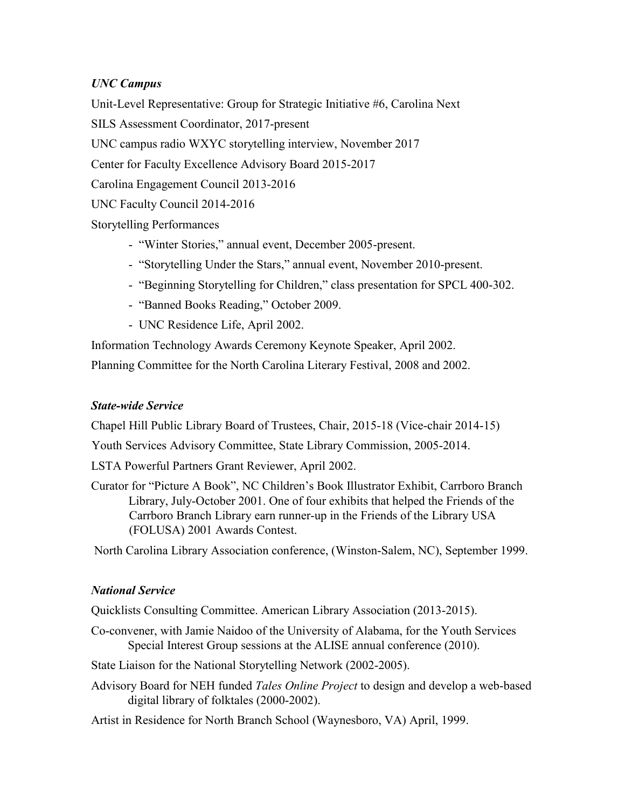## *UNC Campus*

Unit-Level Representative: Group for Strategic Initiative #6, Carolina Next

SILS Assessment Coordinator, 2017-present

UNC campus radio WXYC storytelling interview, November 2017

Center for Faculty Excellence Advisory Board 2015-2017

Carolina Engagement Council 2013-2016

UNC Faculty Council 2014-2016

Storytelling Performances

- "Winter Stories," annual event, December 2005-present.
- "Storytelling Under the Stars," annual event, November 2010-present.
- "Beginning Storytelling for Children," class presentation for SPCL 400-302.
- "Banned Books Reading," October 2009.
- UNC Residence Life, April 2002.

Information Technology Awards Ceremony Keynote Speaker, April 2002.

Planning Committee for the North Carolina Literary Festival, 2008 and 2002.

# *State-wide Service*

Chapel Hill Public Library Board of Trustees, Chair, 2015-18 (Vice-chair 2014-15)

Youth Services Advisory Committee, State Library Commission, 2005-2014.

LSTA Powerful Partners Grant Reviewer, April 2002.

Curator for "Picture A Book", NC Children's Book Illustrator Exhibit, Carrboro Branch Library, July-October 2001. One of four exhibits that helped the Friends of the Carrboro Branch Library earn runner-up in the Friends of the Library USA (FOLUSA) 2001 Awards Contest.

North Carolina Library Association conference, (Winston-Salem, NC), September 1999.

# *National Service*

Quicklists Consulting Committee. American Library Association (2013-2015).

Co-convener, with Jamie Naidoo of the University of Alabama, for the Youth Services Special Interest Group sessions at the ALISE annual conference (2010).

State Liaison for the National Storytelling Network (2002-2005).

Advisory Board for NEH funded *Tales Online Project* to design and develop a web-based digital library of folktales (2000-2002).

Artist in Residence for North Branch School (Waynesboro, VA) April, 1999.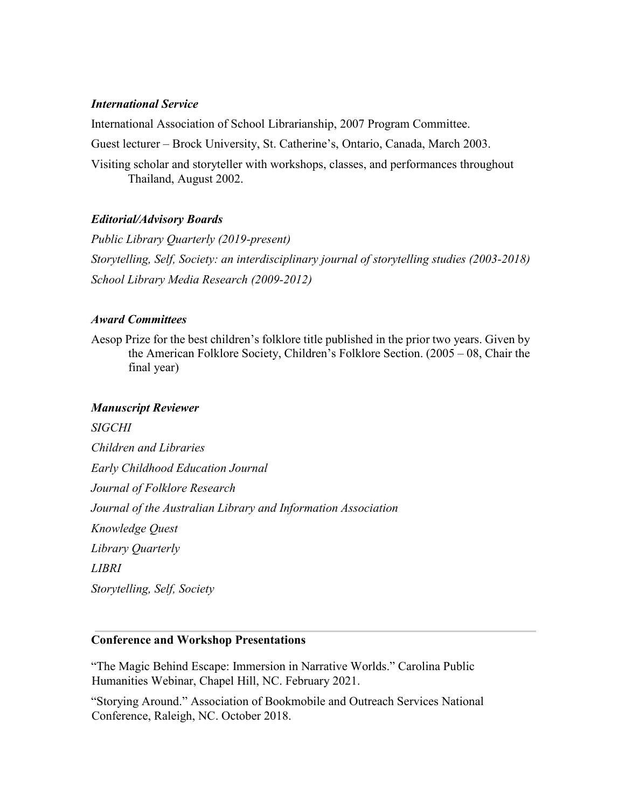## *International Service*

International Association of School Librarianship, 2007 Program Committee.

Guest lecturer – Brock University, St. Catherine's, Ontario, Canada, March 2003.

Visiting scholar and storyteller with workshops, classes, and performances throughout Thailand, August 2002.

## *Editorial/Advisory Boards*

*Public Library Quarterly (2019-present) Storytelling, Self, Society: an interdisciplinary journal of storytelling studies (2003-2018) School Library Media Research (2009-2012)* 

## *Award Committees*

Aesop Prize for the best children's folklore title published in the prior two years. Given by the American Folklore Society, Children's Folklore Section. (2005 – 08, Chair the final year)

## *Manuscript Reviewer*

*SIGCHI Children and Libraries Early Childhood Education Journal Journal of Folklore Research Journal of the Australian Library and Information Association Knowledge Quest Library Quarterly LIBRI Storytelling, Self, Society* 

## **Conference and Workshop Presentations**

"The Magic Behind Escape: Immersion in Narrative Worlds." Carolina Public Humanities Webinar, Chapel Hill, NC. February 2021.

"Storying Around." Association of Bookmobile and Outreach Services National Conference, Raleigh, NC. October 2018.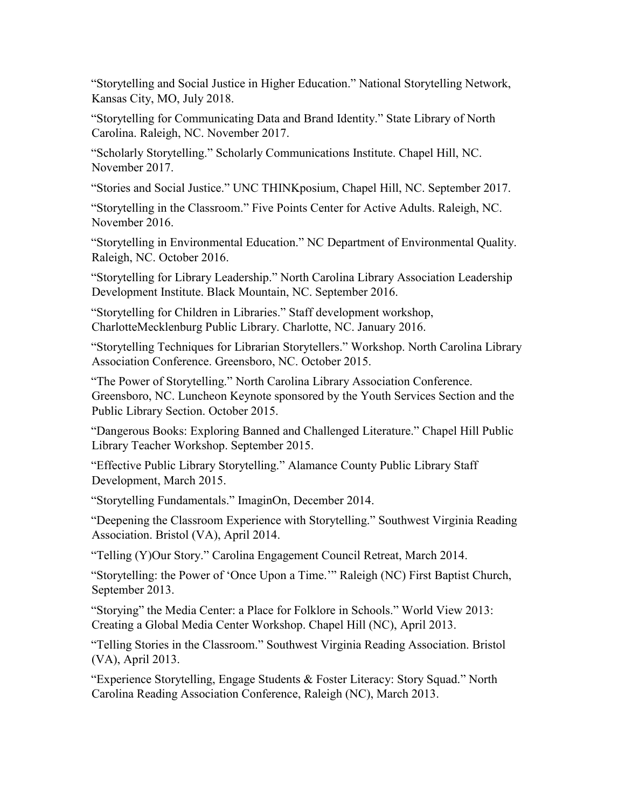"Storytelling and Social Justice in Higher Education." National Storytelling Network, Kansas City, MO, July 2018.

"Storytelling for Communicating Data and Brand Identity." State Library of North Carolina. Raleigh, NC. November 2017.

"Scholarly Storytelling." Scholarly Communications Institute. Chapel Hill, NC. November 2017.

"Stories and Social Justice." UNC THINKposium, Chapel Hill, NC. September 2017.

"Storytelling in the Classroom." Five Points Center for Active Adults. Raleigh, NC. November 2016.

"Storytelling in Environmental Education." NC Department of Environmental Quality. Raleigh, NC. October 2016.

"Storytelling for Library Leadership." North Carolina Library Association Leadership Development Institute. Black Mountain, NC. September 2016.

"Storytelling for Children in Libraries." Staff development workshop, CharlotteMecklenburg Public Library. Charlotte, NC. January 2016.

"Storytelling Techniques for Librarian Storytellers." Workshop. North Carolina Library Association Conference. Greensboro, NC. October 2015.

"The Power of Storytelling." North Carolina Library Association Conference. Greensboro, NC. Luncheon Keynote sponsored by the Youth Services Section and the Public Library Section. October 2015.

"Dangerous Books: Exploring Banned and Challenged Literature." Chapel Hill Public Library Teacher Workshop. September 2015.

"Effective Public Library Storytelling." Alamance County Public Library Staff Development, March 2015.

"Storytelling Fundamentals." ImaginOn, December 2014.

"Deepening the Classroom Experience with Storytelling." Southwest Virginia Reading Association. Bristol (VA), April 2014.

"Telling (Y)Our Story." Carolina Engagement Council Retreat, March 2014.

"Storytelling: the Power of 'Once Upon a Time.'" Raleigh (NC) First Baptist Church, September 2013.

"Storying" the Media Center: a Place for Folklore in Schools." World View 2013: Creating a Global Media Center Workshop. Chapel Hill (NC), April 2013.

"Telling Stories in the Classroom." Southwest Virginia Reading Association. Bristol (VA), April 2013.

"Experience Storytelling, Engage Students & Foster Literacy: Story Squad." North Carolina Reading Association Conference, Raleigh (NC), March 2013.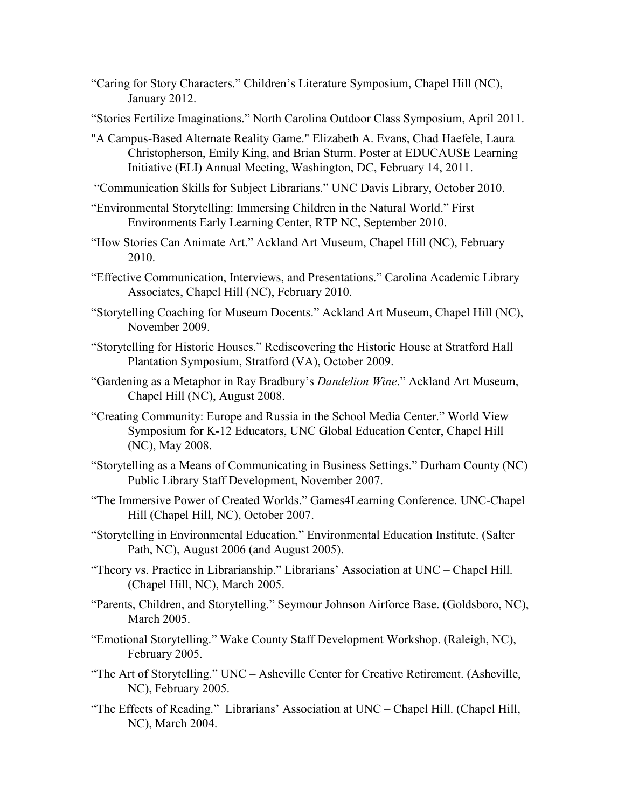- "Caring for Story Characters." Children's Literature Symposium, Chapel Hill (NC), January 2012.
- "Stories Fertilize Imaginations." North Carolina Outdoor Class Symposium, April 2011.
- "A Campus-Based Alternate Reality Game." Elizabeth A. Evans, Chad Haefele, Laura Christopherson, Emily King, and Brian Sturm. Poster at EDUCAUSE Learning Initiative (ELI) Annual Meeting, Washington, DC, February 14, 2011.
- "Communication Skills for Subject Librarians." UNC Davis Library, October 2010.
- "Environmental Storytelling: Immersing Children in the Natural World." First Environments Early Learning Center, RTP NC, September 2010.
- "How Stories Can Animate Art." Ackland Art Museum, Chapel Hill (NC), February 2010.
- "Effective Communication, Interviews, and Presentations." Carolina Academic Library Associates, Chapel Hill (NC), February 2010.
- "Storytelling Coaching for Museum Docents." Ackland Art Museum, Chapel Hill (NC), November 2009.
- "Storytelling for Historic Houses." Rediscovering the Historic House at Stratford Hall Plantation Symposium, Stratford (VA), October 2009.
- "Gardening as a Metaphor in Ray Bradbury's *Dandelion Wine*." Ackland Art Museum, Chapel Hill (NC), August 2008.
- "Creating Community: Europe and Russia in the School Media Center." World View Symposium for K-12 Educators, UNC Global Education Center, Chapel Hill (NC), May 2008.
- "Storytelling as a Means of Communicating in Business Settings." Durham County (NC) Public Library Staff Development, November 2007.
- "The Immersive Power of Created Worlds." Games4Learning Conference. UNC-Chapel Hill (Chapel Hill, NC), October 2007.
- "Storytelling in Environmental Education." Environmental Education Institute. (Salter Path, NC), August 2006 (and August 2005).
- "Theory vs. Practice in Librarianship." Librarians' Association at UNC Chapel Hill. (Chapel Hill, NC), March 2005.
- "Parents, Children, and Storytelling." Seymour Johnson Airforce Base. (Goldsboro, NC), March 2005.
- "Emotional Storytelling." Wake County Staff Development Workshop. (Raleigh, NC), February 2005.
- "The Art of Storytelling." UNC Asheville Center for Creative Retirement. (Asheville, NC), February 2005.
- "The Effects of Reading." Librarians' Association at UNC Chapel Hill. (Chapel Hill, NC), March 2004.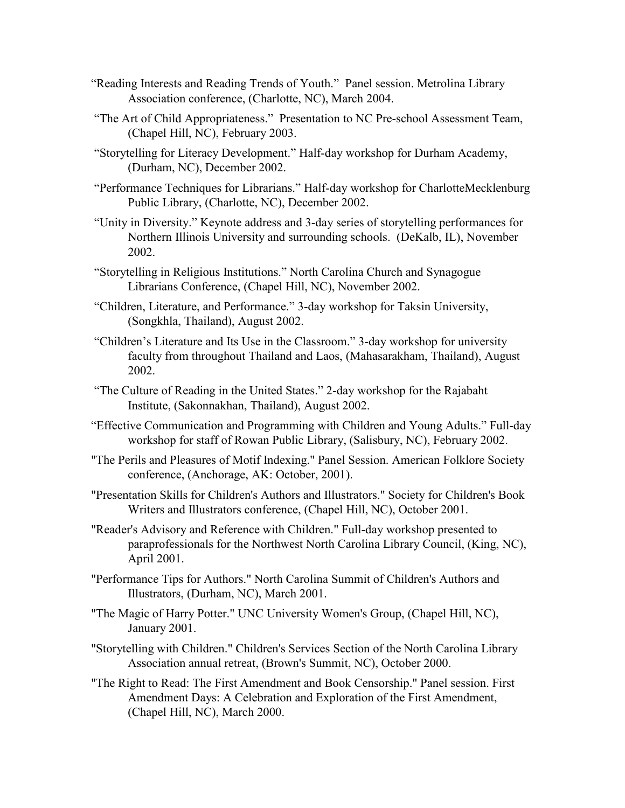- "Reading Interests and Reading Trends of Youth." Panel session. Metrolina Library Association conference, (Charlotte, NC), March 2004.
- "The Art of Child Appropriateness." Presentation to NC Pre-school Assessment Team, (Chapel Hill, NC), February 2003.
- "Storytelling for Literacy Development." Half-day workshop for Durham Academy, (Durham, NC), December 2002.
- "Performance Techniques for Librarians." Half-day workshop for CharlotteMecklenburg Public Library, (Charlotte, NC), December 2002.
- "Unity in Diversity." Keynote address and 3-day series of storytelling performances for Northern Illinois University and surrounding schools. (DeKalb, IL), November 2002.
- "Storytelling in Religious Institutions." North Carolina Church and Synagogue Librarians Conference, (Chapel Hill, NC), November 2002.
- "Children, Literature, and Performance." 3-day workshop for Taksin University, (Songkhla, Thailand), August 2002.
- "Children's Literature and Its Use in the Classroom." 3-day workshop for university faculty from throughout Thailand and Laos, (Mahasarakham, Thailand), August 2002.
- "The Culture of Reading in the United States." 2-day workshop for the Rajabaht Institute, (Sakonnakhan, Thailand), August 2002.
- "Effective Communication and Programming with Children and Young Adults." Full-day workshop for staff of Rowan Public Library, (Salisbury, NC), February 2002.
- "The Perils and Pleasures of Motif Indexing." Panel Session. American Folklore Society conference, (Anchorage, AK: October, 2001).
- "Presentation Skills for Children's Authors and Illustrators." Society for Children's Book Writers and Illustrators conference, (Chapel Hill, NC), October 2001.
- "Reader's Advisory and Reference with Children." Full-day workshop presented to paraprofessionals for the Northwest North Carolina Library Council, (King, NC), April 2001.
- "Performance Tips for Authors." North Carolina Summit of Children's Authors and Illustrators, (Durham, NC), March 2001.
- "The Magic of Harry Potter." UNC University Women's Group, (Chapel Hill, NC), January 2001.
- "Storytelling with Children." Children's Services Section of the North Carolina Library Association annual retreat, (Brown's Summit, NC), October 2000.
- "The Right to Read: The First Amendment and Book Censorship." Panel session. First Amendment Days: A Celebration and Exploration of the First Amendment, (Chapel Hill, NC), March 2000.